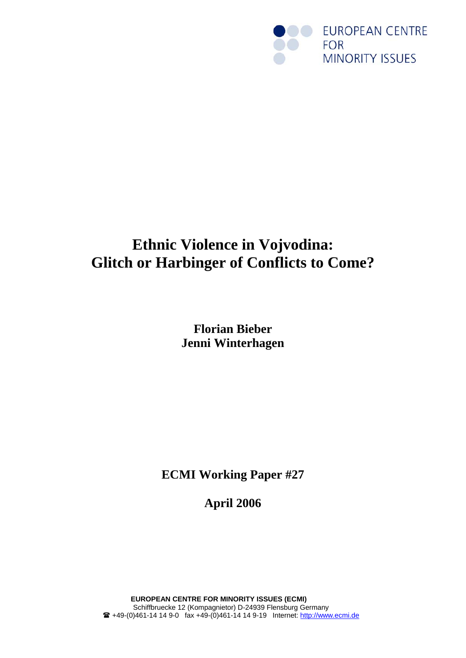

# **Ethnic Violence in Vojvodina: Glitch or Harbinger of Conflicts to Come?**

**Florian Bieber Jenni Winterhagen**

**ECMI Working Paper #27** 

**April 2006**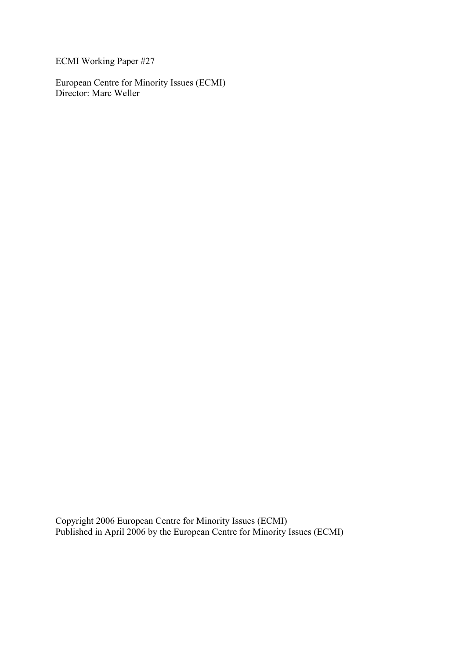ECMI Working Paper #27

European Centre for Minority Issues (ECMI) Director: Marc Weller

Copyright 2006 European Centre for Minority Issues (ECMI) Published in April 2006 by the European Centre for Minority Issues (ECMI)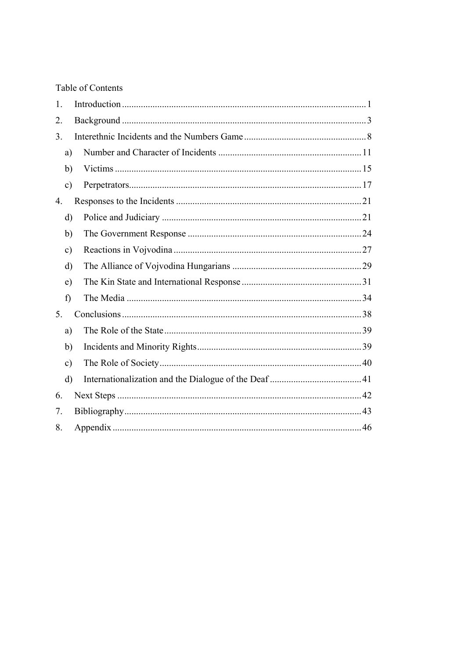# Table of Contents

| 1.             |               |  |
|----------------|---------------|--|
| 2.             |               |  |
| 3.             |               |  |
|                | a)            |  |
|                | b)            |  |
|                | $\mathbf{c})$ |  |
| 4.             |               |  |
|                | $\mathbf{d}$  |  |
|                | b)            |  |
|                | $\mathbf{c})$ |  |
|                | $\rm d)$      |  |
|                | e)            |  |
|                | f)            |  |
| 5 <sub>1</sub> |               |  |
|                | a)            |  |
|                | $\mathbf{b}$  |  |
|                | $\mathbf{c})$ |  |
|                | $\rm d)$      |  |
| 6.             |               |  |
| 7.             |               |  |
| 8.             |               |  |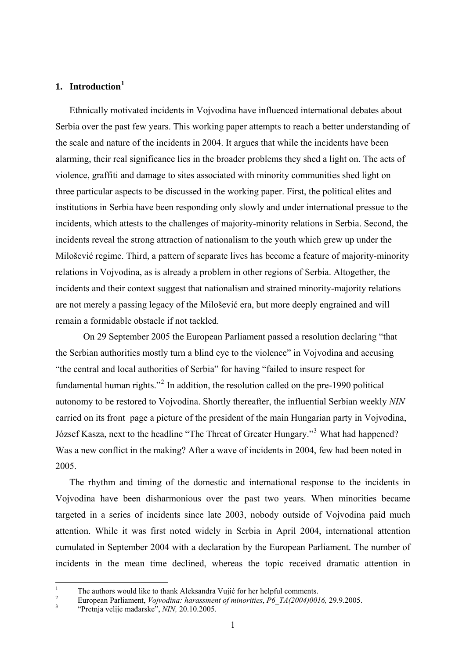# <span id="page-3-0"></span>**1. Introduction[1](#page-3-1)**

Ethnically motivated incidents in Vojvodina have influenced international debates about Serbia over the past few years. This working paper attempts to reach a better understanding of the scale and nature of the incidents in 2004. It argues that while the incidents have been alarming, their real significance lies in the broader problems they shed a light on. The acts of violence, graffiti and damage to sites associated with minority communities shed light on three particular aspects to be discussed in the working paper. First, the political elites and institutions in Serbia have been responding only slowly and under international pressue to the incidents, which attests to the challenges of majority-minority relations in Serbia. Second, the incidents reveal the strong attraction of nationalism to the youth which grew up under the Milošević regime. Third, a pattern of separate lives has become a feature of majority-minority relations in Vojvodina, as is already a problem in other regions of Serbia. Altogether, the incidents and their context suggest that nationalism and strained minority-majority relations are not merely a passing legacy of the Milošević era, but more deeply engrained and will remain a formidable obstacle if not tackled.

 On 29 September 2005 the European Parliament passed a resolution declaring "that the Serbian authorities mostly turn a blind eye to the violence" in Vojvodina and accusing "the central and local authorities of Serbia" for having "failed to insure respect for fundamental human rights."<sup>[2](#page-3-2)</sup> In addition, the resolution called on the pre-1990 political autonomy to be restored to Vojvodina. Shortly thereafter, the influential Serbian weekly *NIN* carried on its front page a picture of the president of the main Hungarian party in Vojvodina, József Kasza, next to the headline "The Threat of Greater Hungary."<sup>[3](#page-3-3)</sup> What had happened? Was a new conflict in the making? After a wave of incidents in 2004, few had been noted in 2005.

The rhythm and timing of the domestic and international response to the incidents in Vojvodina have been disharmonious over the past two years. When minorities became targeted in a series of incidents since late 2003, nobody outside of Vojvodina paid much attention. While it was first noted widely in Serbia in April 2004, international attention cumulated in September 2004 with a declaration by the European Parliament. The number of incidents in the mean time declined, whereas the topic received dramatic attention in

 $\frac{1}{1}$ <sup>1</sup> The authors would like to thank Aleksandra Vujić for her helpful comments.

<span id="page-3-2"></span><span id="page-3-1"></span>European Parliament, *Vojvodina: harassment of minorities*, *P6\_TA(2004)0016,* 29.9.2005. 3"Pretnja velije mađarske", *NIN,* 20.10.2005.

<span id="page-3-3"></span>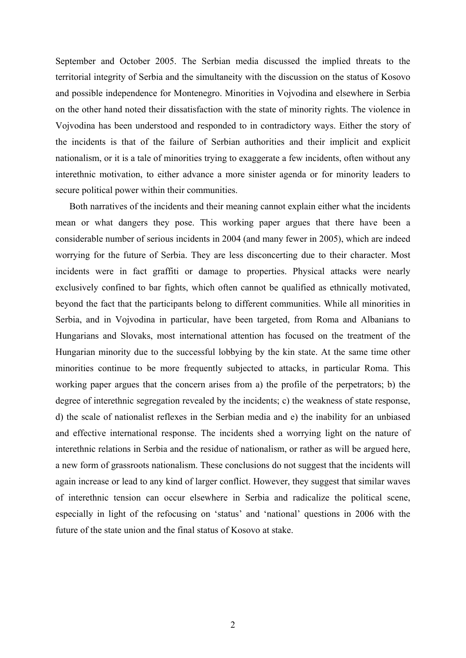September and October 2005. The Serbian media discussed the implied threats to the territorial integrity of Serbia and the simultaneity with the discussion on the status of Kosovo and possible independence for Montenegro. Minorities in Vojvodina and elsewhere in Serbia on the other hand noted their dissatisfaction with the state of minority rights. The violence in Vojvodina has been understood and responded to in contradictory ways. Either the story of the incidents is that of the failure of Serbian authorities and their implicit and explicit nationalism, or it is a tale of minorities trying to exaggerate a few incidents, often without any interethnic motivation, to either advance a more sinister agenda or for minority leaders to secure political power within their communities.

Both narratives of the incidents and their meaning cannot explain either what the incidents mean or what dangers they pose. This working paper argues that there have been a considerable number of serious incidents in 2004 (and many fewer in 2005), which are indeed worrying for the future of Serbia. They are less disconcerting due to their character. Most incidents were in fact graffiti or damage to properties. Physical attacks were nearly exclusively confined to bar fights, which often cannot be qualified as ethnically motivated, beyond the fact that the participants belong to different communities. While all minorities in Serbia, and in Vojvodina in particular, have been targeted, from Roma and Albanians to Hungarians and Slovaks, most international attention has focused on the treatment of the Hungarian minority due to the successful lobbying by the kin state. At the same time other minorities continue to be more frequently subjected to attacks, in particular Roma. This working paper argues that the concern arises from a) the profile of the perpetrators; b) the degree of interethnic segregation revealed by the incidents; c) the weakness of state response, d) the scale of nationalist reflexes in the Serbian media and e) the inability for an unbiased and effective international response. The incidents shed a worrying light on the nature of interethnic relations in Serbia and the residue of nationalism, or rather as will be argued here, a new form of grassroots nationalism. These conclusions do not suggest that the incidents will again increase or lead to any kind of larger conflict. However, they suggest that similar waves of interethnic tension can occur elsewhere in Serbia and radicalize the political scene, especially in light of the refocusing on 'status' and 'national' questions in 2006 with the future of the state union and the final status of Kosovo at stake.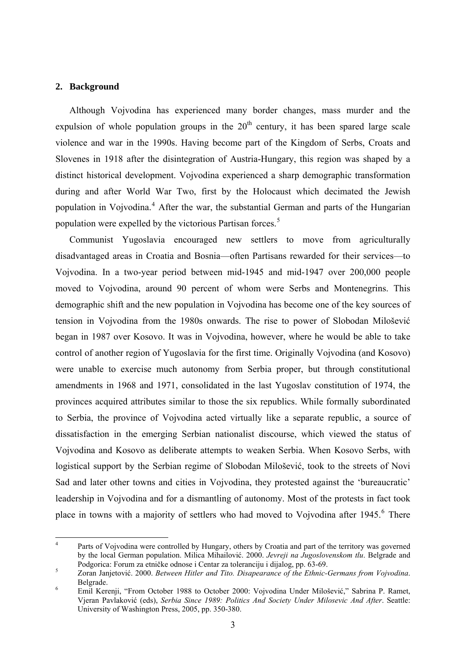#### <span id="page-5-0"></span>**2. Background**

1

Although Vojvodina has experienced many border changes, mass murder and the expulsion of whole population groups in the  $20<sup>th</sup>$  century, it has been spared large scale violence and war in the 1990s. Having become part of the Kingdom of Serbs, Croats and Slovenes in 1918 after the disintegration of Austria-Hungary, this region was shaped by a distinct historical development. Vojvodina experienced a sharp demographic transformation during and after World War Two, first by the Holocaust which decimated the Jewish population in Vojvodina.<sup>[4](#page-5-1)</sup> After the war, the substantial German and parts of the Hungarian population were expelled by the victorious Partisan forces.<sup>[5](#page-5-2)</sup>

Communist Yugoslavia encouraged new settlers to move from agriculturally disadvantaged areas in Croatia and Bosnia—often Partisans rewarded for their services—to Vojvodina. In a two-year period between mid-1945 and mid-1947 over 200,000 people moved to Vojvodina, around 90 percent of whom were Serbs and Montenegrins. This demographic shift and the new population in Vojvodina has become one of the key sources of tension in Vojvodina from the 1980s onwards. The rise to power of Slobodan Milošević began in 1987 over Kosovo. It was in Vojvodina, however, where he would be able to take control of another region of Yugoslavia for the first time. Originally Vojvodina (and Kosovo) were unable to exercise much autonomy from Serbia proper, but through constitutional amendments in 1968 and 1971, consolidated in the last Yugoslav constitution of 1974, the provinces acquired attributes similar to those the six republics. While formally subordinated to Serbia, the province of Vojvodina acted virtually like a separate republic, a source of dissatisfaction in the emerging Serbian nationalist discourse, which viewed the status of Vojvodina and Kosovo as deliberate attempts to weaken Serbia. When Kosovo Serbs, with logistical support by the Serbian regime of Slobodan Milošević, took to the streets of Novi Sad and later other towns and cities in Vojvodina, they protested against the 'bureaucratic' leadership in Vojvodina and for a dismantling of autonomy. Most of the protests in fact took place in towns with a majority of settlers who had moved to Vojvodina after  $1945$ .<sup>[6](#page-5-3)</sup> There

<span id="page-5-1"></span><sup>4</sup> Parts of Vojvodina were controlled by Hungary, others by Croatia and part of the territory was governed by the local German population. Milica Mihailović. 2000. *Jevreji na Jugoslovenskom tlu*. Belgrade and Podgorica: Forum za etničke odnose i Centar za toleranciju i dijalog, pp. 63-69. 5

<span id="page-5-2"></span>Zoran Janjetović. 2000. *Between Hitler and Tito. Disapearance of the Ethnic-Germans from Vojvodina*. Belgrade.

<span id="page-5-3"></span>Emil Kerenji, "From October 1988 to October 2000: Vojvodina Under Milošević," Sabrina P. Ramet, Vjeran Pavlaković (eds), *Serbia Since 1989: Politics And Society Under Milosevic And After*. Seattle: University of Washington Press, 2005, pp. 350-380.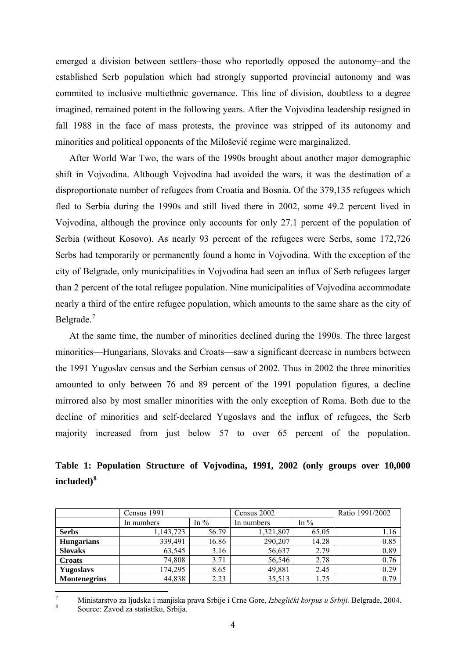emerged a division between settlers–those who reportedly opposed the autonomy–and the established Serb population which had strongly supported provincial autonomy and was commited to inclusive multiethnic governance. This line of division, doubtless to a degree imagined, remained potent in the following years. After the Vojvodina leadership resigned in fall 1988 in the face of mass protests, the province was stripped of its autonomy and minorities and political opponents of the Milošević regime were marginalized.

After World War Two, the wars of the 1990s brought about another major demographic shift in Vojvodina. Although Vojvodina had avoided the wars, it was the destination of a disproportionate number of refugees from Croatia and Bosnia. Of the 379,135 refugees which fled to Serbia during the 1990s and still lived there in 2002, some 49.2 percent lived in Vojvodina, although the province only accounts for only 27.1 percent of the population of Serbia (without Kosovo). As nearly 93 percent of the refugees were Serbs, some 172,726 Serbs had temporarily or permanently found a home in Vojvodina. With the exception of the city of Belgrade, only municipalities in Vojvodina had seen an influx of Serb refugees larger than 2 percent of the total refugee population. Nine municipalities of Vojvodina accommodate nearly a third of the entire refugee population, which amounts to the same share as the city of Belgrade.<sup>[7](#page-6-0)</sup>

At the same time, the number of minorities declined during the 1990s. The three largest minorities—Hungarians, Slovaks and Croats—saw a significant decrease in numbers between the 1991 Yugoslav census and the Serbian census of 2002. Thus in 2002 the three minorities amounted to only between 76 and 89 percent of the 1991 population figures, a decline mirrored also by most smaller minorities with the only exception of Roma. Both due to the decline of minorities and self-declared Yugoslavs and the influx of refugees, the Serb majority increased from just below 57 to over 65 percent of the population.

**Table 1: Population Structure of Vojvodina, 1991, 2002 (only groups over 10,000 included)[8](#page-6-1)**

|                     | Census 1991 |         | Census 2002 | Ratio 1991/2002 |      |
|---------------------|-------------|---------|-------------|-----------------|------|
|                     | In numbers  | In $\%$ | In numbers  | In $\%$         |      |
| <b>Serbs</b>        | 1,143,723   | 56.79   | 1,321,807   | 65.05           | 1.16 |
| <b>Hungarians</b>   | 339,491     | 16.86   | 290,207     | 14.28           | 0.85 |
| <b>Slovaks</b>      | 63,545      | 3.16    | 56,637      | 2.79            | 0.89 |
| <b>Croats</b>       | 74,808      | 3.71    | 56,546      | 2.78            | 0.76 |
| <b>Yugoslavs</b>    | 174,295     | 8.65    | 49,881      | 2.45            | 0.29 |
| <b>Montenegrins</b> | 44,838      | 2.23    | 35,513      | 1.75            | 0.79 |

<span id="page-6-1"></span><span id="page-6-0"></span> $\frac{1}{7}$  Ministarstvo za ljudska i manjiska prava Srbije i Crne Gore, *Izbeglički korpus u Srbiji.* Belgrade, 2004. 8 Source: Zavod za statistiku, Srbija.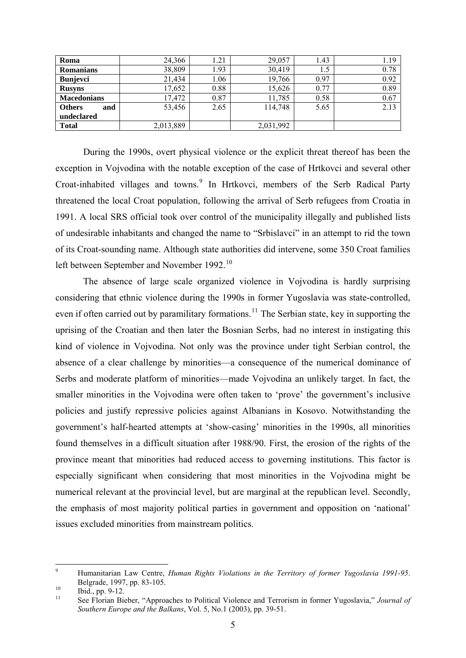| Roma                 | 24,366    | 1.21 | 29,057    | 1.43 | 1.19 |
|----------------------|-----------|------|-----------|------|------|
| <b>Romanians</b>     | 38,809    | .93  | 30,419    |      | 0.78 |
| <b>Bunjevci</b>      | 21,434    | .06  | 19,766    | 0.97 | 0.92 |
| <b>Rusyns</b>        | 17,652    | 0.88 | 15,626    | 0.77 | 0.89 |
| <b>Macedonians</b>   | 17,472    | 0.87 | 11,785    | 0.58 | 0.67 |
| <b>Others</b><br>and | 53,456    | 2.65 | 114,748   | 5.65 | 2.13 |
| undeclared           |           |      |           |      |      |
| <b>Total</b>         | 2,013,889 |      | 2,031,992 |      |      |

During the 1990s, overt physical violence or the explicit threat thereof has been the exception in Vojvodina with the notable exception of the case of Hrtkovci and several other Croat-inhabited villages and towns.<sup>[9](#page-7-0)</sup> In Hrtkovci, members of the Serb Radical Party threatened the local Croat population, following the arrival of Serb refugees from Croatia in 1991. A local SRS official took over control of the municipality illegally and published lists of undesirable inhabitants and changed the name to "Srbislavci" in an attempt to rid the town of its Croat-sounding name. Although state authorities did intervene, some 350 Croat families left between September and November 1992.<sup>[10](#page-7-1)</sup>

The absence of large scale organized violence in Vojvodina is hardly surprising considering that ethnic violence during the 1990s in former Yugoslavia was state-controlled, even if often carried out by paramilitary formations.<sup>[11](#page-7-2)</sup> The Serbian state, key in supporting the uprising of the Croatian and then later the Bosnian Serbs, had no interest in instigating this kind of violence in Vojvodina. Not only was the province under tight Serbian control, the absence of a clear challenge by minorities—a consequence of the numerical dominance of Serbs and moderate platform of minorities—made Vojvodina an unlikely target. In fact, the smaller minorities in the Vojvodina were often taken to 'prove' the government's inclusive policies and justify repressive policies against Albanians in Kosovo. Notwithstanding the government's half-hearted attempts at 'show-casing' minorities in the 1990s, all minorities found themselves in a difficult situation after 1988/90. First, the erosion of the rights of the province meant that minorities had reduced access to governing institutions. This factor is especially significant when considering that most minorities in the Vojvodina might be numerical relevant at the provincial level, but are marginal at the republican level. Secondly, the emphasis of most majority political parties in government and opposition on 'national' issues excluded minorities from mainstream politics.

<span id="page-7-0"></span><sup>-&</sup>lt;br>9 Humanitarian Law Centre, *Human Rights Violations in the Territory of former Yugoslavia 1991-95*. Belgrade, 1997, pp. 83-105.<br>
lud., pp. 9-12.<br>
lud. C. P. J.

<span id="page-7-2"></span><span id="page-7-1"></span>

<sup>11</sup> See Florian Bieber, "Approaches to Political Violence and Terrorism in former Yugoslavia," *Journal of Southern Europe and the Balkans*, Vol. 5, No.1 (2003), pp. 39-51.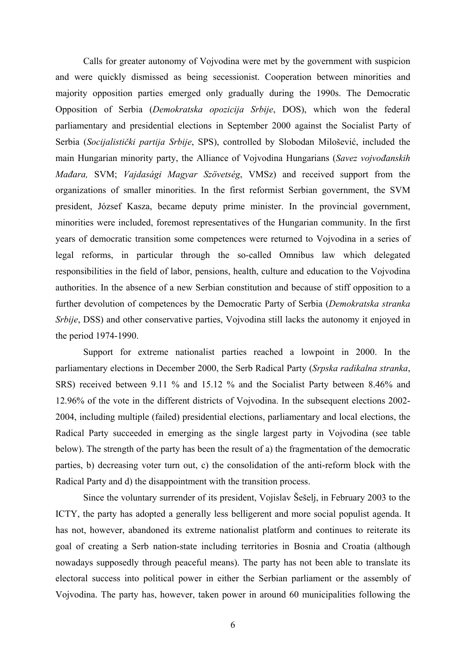Calls for greater autonomy of Vojvodina were met by the government with suspicion and were quickly dismissed as being secessionist. Cooperation between minorities and majority opposition parties emerged only gradually during the 1990s. The Democratic Opposition of Serbia (*Demokratska opozicija Srbije*, DOS), which won the federal parliamentary and presidential elections in September 2000 against the Socialist Party of Serbia (*Socijalistički partija Srbije*, SPS), controlled by Slobodan Milošević, included the main Hungarian minority party, the Alliance of Vojvodina Hungarians (*Savez vojvođanskih Mađara,* SVM; *Vajdasági Magyar Szövetség*, VMSz) and received support from the organizations of smaller minorities. In the first reformist Serbian government, the SVM president, József Kasza, became deputy prime minister. In the provincial government, minorities were included, foremost representatives of the Hungarian community. In the first years of democratic transition some competences were returned to Vojvodina in a series of legal reforms, in particular through the so-called Omnibus law which delegated responsibilities in the field of labor, pensions, health, culture and education to the Vojvodina authorities. In the absence of a new Serbian constitution and because of stiff opposition to a further devolution of competences by the Democratic Party of Serbia (*Demokratska stranka Srbije*, DSS) and other conservative parties, Vojvodina still lacks the autonomy it enjoyed in the period 1974-1990.

Support for extreme nationalist parties reached a lowpoint in 2000. In the parliamentary elections in December 2000, the Serb Radical Party (*Srpska radikalna stranka*, SRS) received between 9.11 % and 15.12 % and the Socialist Party between 8.46% and 12.96% of the vote in the different districts of Vojvodina. In the subsequent elections 2002- 2004, including multiple (failed) presidential elections, parliamentary and local elections, the Radical Party succeeded in emerging as the single largest party in Vojvodina (see table below). The strength of the party has been the result of a) the fragmentation of the democratic parties, b) decreasing voter turn out, c) the consolidation of the anti-reform block with the Radical Party and d) the disappointment with the transition process.

Since the voluntary surrender of its president, Vojislav Šešelj, in February 2003 to the ICTY, the party has adopted a generally less belligerent and more social populist agenda. It has not, however, abandoned its extreme nationalist platform and continues to reiterate its goal of creating a Serb nation-state including territories in Bosnia and Croatia (although nowadays supposedly through peaceful means). The party has not been able to translate its electoral success into political power in either the Serbian parliament or the assembly of Vojvodina. The party has, however, taken power in around 60 municipalities following the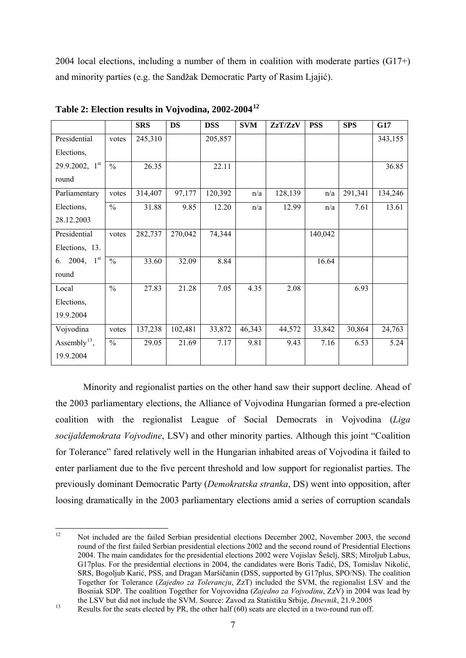2004 local elections, including a number of them in coalition with moderate parties (G17+) and minority parties (e.g. the Sandžak Democratic Party of Rasim Ljajić).

|                             |                          | <b>SRS</b> | <b>DS</b> | <b>DSS</b> | <b>SVM</b> | ZzT/ZzV | <b>PSS</b> | <b>SPS</b> | G17     |
|-----------------------------|--------------------------|------------|-----------|------------|------------|---------|------------|------------|---------|
| Presidential                | votes                    | 245,310    |           | 205,857    |            |         |            |            | 343,155 |
| Elections,                  |                          |            |           |            |            |         |            |            |         |
| 29.9.2002, 1 <sup>st</sup>  | $\frac{0}{0}$            | 26.35      |           | 22.11      |            |         |            |            | 36.85   |
| round                       |                          |            |           |            |            |         |            |            |         |
| Parliamentary               | votes                    | 314,407    | 97,177    | 120,392    | n/a        | 128,139 | n/a        | 291,341    | 134,246 |
| Elections,                  | $\frac{0}{0}$            | 31.88      | 9.85      | 12.20      | n/a        | 12.99   | n/a        | 7.61       | 13.61   |
| 28.12.2003                  |                          |            |           |            |            |         |            |            |         |
| Presidential                | votes                    | 282,737    | 270,042   | 74,344     |            |         | 140,042    |            |         |
| Elections, 13.              |                          |            |           |            |            |         |            |            |         |
| $1^{\rm st}$<br>2004,<br>6. | $\frac{0}{0}$            | 33.60      | 32.09     | 8.84       |            |         | 16.64      |            |         |
| round                       |                          |            |           |            |            |         |            |            |         |
| Local                       | $\frac{0}{0}$            | 27.83      | 21.28     | 7.05       | 4.35       | 2.08    |            | 6.93       |         |
| Elections,                  |                          |            |           |            |            |         |            |            |         |
| 19.9.2004                   |                          |            |           |            |            |         |            |            |         |
| Vojvodina                   | votes                    | 137,238    | 102,481   | 33,872     | 46,343     | 44,572  | 33,842     | 30,864     | 24,763  |
| Assembly <sup>13</sup> ,    | $\overline{\frac{0}{0}}$ | 29.05      | 21.69     | 7.17       | 9.81       | 9.43    | 7.16       | 6.53       | 5.24    |
| 19.9.2004                   |                          |            |           |            |            |         |            |            |         |

**Table 2: Election results in Vojvodina, 2002-2004[12](#page-9-0)**

Minority and regionalist parties on the other hand saw their support decline. Ahead of the 2003 parliamentary elections, the Alliance of Vojvodina Hungarian formed a pre-election coalition with the regionalist League of Social Democrats in Vojvodina (*Liga socijaldemokrata Vojvodine*, LSV) and other minority parties. Although this joint "Coalition for Tolerance" fared relatively well in the Hungarian inhabited areas of Vojvodina it failed to enter parliament due to the five percent threshold and low support for regionalist parties. The previously dominant Democratic Party (*Demokratska stranka*, DS) went into opposition, after loosing dramatically in the 2003 parliamentary elections amid a series of corruption scandals

<span id="page-9-0"></span> $12$ Not included are the failed Serbian presidential elections December 2002, November 2003, the second round of the first failed Serbian presidential elections 2002 and the second round of Presidential Elections 2004. The main candidates for the presidential elections 2002 were Vojislav Šešelj, SRS; Miroljub Labus, G17plus. For the presidential elections in 2004, the candidates were Boris Tadić, DS, Tomislav Nikolić, SRS, Bogoljub Karić, PSS, and Dragan Maršičanin (DSS, supported by G17plus, SPO/NS). The coalition Together for Tolerance (*Zajedno za Tolerancju*, ZzT) included the SVM, the regionalist LSV and the Bosniak SDP. The coalition Together for Vojvovidna (*Zajedno za Vojvodinu*, ZzV) in 2004 was lead by

<span id="page-9-1"></span><sup>13</sup> Results for the seats elected by PR, the other half (60) seats are elected in a two-round run off.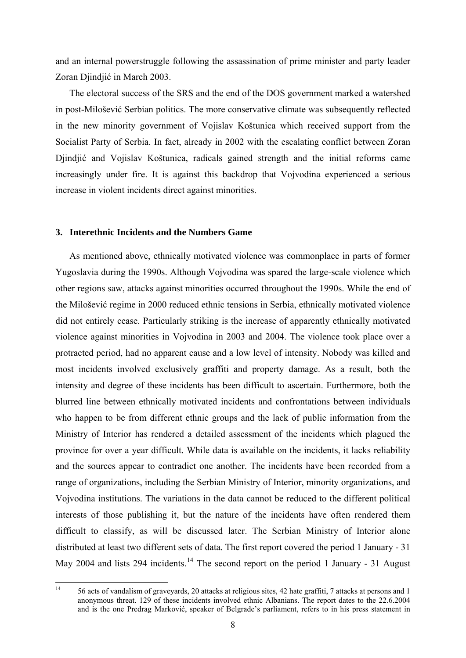<span id="page-10-0"></span>and an internal powerstruggle following the assassination of prime minister and party leader Zoran Djindjić in March 2003.

The electoral success of the SRS and the end of the DOS government marked a watershed in post-Milošević Serbian politics. The more conservative climate was subsequently reflected in the new minority government of Vojislav Koštunica which received support from the Socialist Party of Serbia. In fact, already in 2002 with the escalating conflict between Zoran Djindjić and Vojislav Koštunica, radicals gained strength and the initial reforms came increasingly under fire. It is against this backdrop that Vojvodina experienced a serious increase in violent incidents direct against minorities.

#### **3. Interethnic Incidents and the Numbers Game**

As mentioned above, ethnically motivated violence was commonplace in parts of former Yugoslavia during the 1990s. Although Vojvodina was spared the large-scale violence which other regions saw, attacks against minorities occurred throughout the 1990s. While the end of the Milošević regime in 2000 reduced ethnic tensions in Serbia, ethnically motivated violence did not entirely cease. Particularly striking is the increase of apparently ethnically motivated violence against minorities in Vojvodina in 2003 and 2004. The violence took place over a protracted period, had no apparent cause and a low level of intensity. Nobody was killed and most incidents involved exclusively graffiti and property damage. As a result, both the intensity and degree of these incidents has been difficult to ascertain. Furthermore, both the blurred line between ethnically motivated incidents and confrontations between individuals who happen to be from different ethnic groups and the lack of public information from the Ministry of Interior has rendered a detailed assessment of the incidents which plagued the province for over a year difficult. While data is available on the incidents, it lacks reliability and the sources appear to contradict one another. The incidents have been recorded from a range of organizations, including the Serbian Ministry of Interior, minority organizations, and Vojvodina institutions. The variations in the data cannot be reduced to the different political interests of those publishing it, but the nature of the incidents have often rendered them difficult to classify, as will be discussed later. The Serbian Ministry of Interior alone distributed at least two different sets of data. The first report covered the period 1 January - 31 May 2004 and lists 294 incidents.<sup>[14](#page-10-1)</sup> The second report on the period 1 January - 31 August

<span id="page-10-1"></span> $14$ 14 56 acts of vandalism of graveyards, 20 attacks at religious sites, 42 hate graffiti, 7 attacks at persons and 1 anonymous threat. 129 of these incidents involved ethnic Albanians. The report dates to the 22.6.2004 and is the one Predrag Marković, speaker of Belgrade's parliament, refers to in his press statement in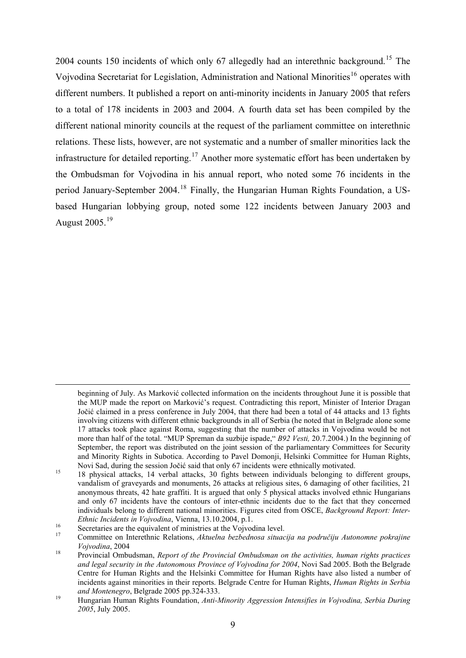2004 counts [15](#page-11-0)0 incidents of which only 67 allegedly had an interethnic background.<sup>15</sup> The Vojvodina Secretariat for Legislation, Administration and National Minorities<sup>[16](#page-11-1)</sup> operates with different numbers. It published a report on anti-minority incidents in January 2005 that refers to a total of 178 incidents in 2003 and 2004. A fourth data set has been compiled by the different national minority councils at the request of the parliament committee on interethnic relations. These lists, however, are not systematic and a number of smaller minorities lack the infrastructure for detailed reporting.<sup>[17](#page-11-2)</sup> Another more systematic effort has been undertaken by the Ombudsman for Vojvodina in his annual report, who noted some 76 incidents in the period January-September 2004.[18](#page-11-3) Finally, the Hungarian Human Rights Foundation, a USbased Hungarian lobbying group, noted some 122 incidents between January 2003 and August 2005.[19](#page-11-4)

1

beginning of July. As Marković collected information on the incidents throughout June it is possible that the MUP made the report on Marković's request. Contradicting this report, Minister of Interior Dragan Jočić claimed in a press conference in July 2004, that there had been a total of 44 attacks and 13 fights involving citizens with different ethnic backgrounds in all of Serbia (he noted that in Belgrade alone some 17 attacks took place against Roma, suggesting that the number of attacks in Vojvodina would be not more than half of the total. "MUP Spreman da suzbije ispade," *B92 Vesti,* 20.7.2004.) In the beginning of September, the report was distributed on the joint session of the parliamentary Committees for Security and Minority Rights in Subotica. According to Pavel Domonji, Helsinki Committee for Human Rights,<br>Novi Sad, during the session Jočić said that only 67 incidents were ethnically motivated.

<span id="page-11-0"></span><sup>&</sup>lt;sup>15</sup> 18 physical attacks, 14 verbal attacks, 30 fights between individuals belonging to different groups, vandalism of graveyards and monuments, 26 attacks at religious sites, 6 damaging of other facilities, 21 anonymous threats, 42 hate graffiti. It is argued that only 5 physical attacks involved ethnic Hungarians and only 67 incidents have the contours of inter-ethnic incidents due to the fact that they concerned individuals belong to different national minorities. Figures cited from OSCE, *Background Report: Inter-*

*Ethnic Incidents in Vojvodina*, Vienna, 13.10.2004, p.1.<br>
Secretaries are the equivalent of ministries at the Vojvodina level.

<span id="page-11-2"></span><span id="page-11-1"></span><sup>17</sup> Committee on Interethnic Relations, *Aktuelna bezbednosa situacija na područiju Autonomne pokrajine Vojvodina*, 2004<br><sup>18</sup> Provincial Ombudsman, *Report of the Provincial Ombudsman on the activities, human rights practices* 

<span id="page-11-3"></span>*and legal security in the Autonomous Province of Vojvodina for 2004*, Novi Sad 2005. Both the Belgrade Centre for Human Rights and the Helsinki Committee for Human Rights have also listed a number of incidents against minorities in their reports. Belgrade Centre for Human Rights, *Human Rights in Serbia and Montenegro*, Belgrade 2005 pp.324-333. 19 Hungarian Human Rights Foundation, *Anti-Minority Aggression Intensifies in Vojvodina, Serbia During* 

<span id="page-11-4"></span>*<sup>2005</sup>*, July 2005.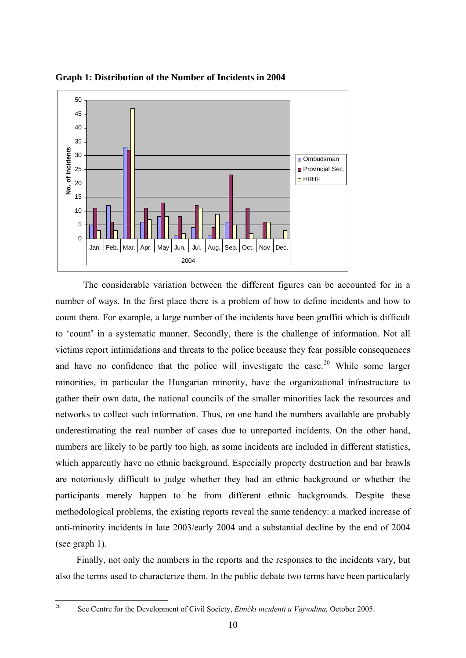

**Graph 1: Distribution of the Number of Incidents in 2004** 

The considerable variation between the different figures can be accounted for in a number of ways. In the first place there is a problem of how to define incidents and how to count them. For example, a large number of the incidents have been graffiti which is difficult to 'count' in a systematic manner. Secondly, there is the challenge of information. Not all victims report intimidations and threats to the police because they fear possible consequences and have no confidence that the police will investigate the case.<sup>[20](#page-12-0)</sup> While some larger minorities, in particular the Hungarian minority, have the organizational infrastructure to gather their own data, the national councils of the smaller minorities lack the resources and networks to collect such information. Thus, on one hand the numbers available are probably underestimating the real number of cases due to unreported incidents. On the other hand, numbers are likely to be partly too high, as some incidents are included in different statistics, which apparently have no ethnic background. Especially property destruction and bar brawls are notoriously difficult to judge whether they had an ethnic background or whether the participants merely happen to be from different ethnic backgrounds. Despite these methodological problems, the existing reports reveal the same tendency: a marked increase of anti-minority incidents in late 2003/early 2004 and a substantial decline by the end of 2004 (see graph 1).

Finally, not only the numbers in the reports and the responses to the incidents vary, but also the terms used to characterize them. In the public debate two terms have been particularly

<span id="page-12-0"></span> $20$ 20 See Centre for the Development of Civil Society, *Etnički incidenti u Vojvodina,* October 2005.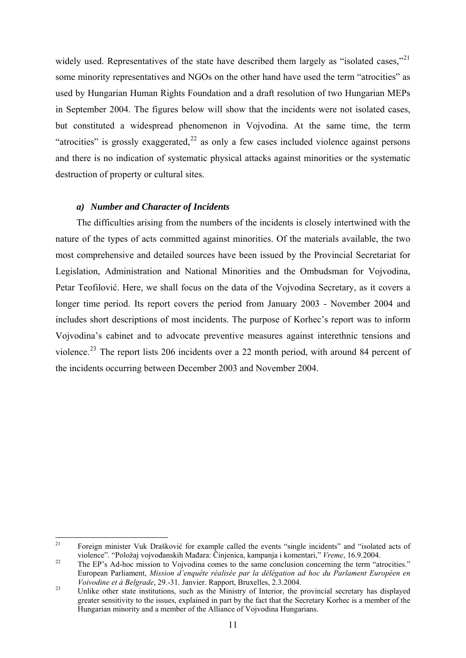<span id="page-13-0"></span>widely used. Representatives of the state have described them largely as "isolated cases,"<sup>[21](#page-13-1)</sup> some minority representatives and NGOs on the other hand have used the term "atrocities" as used by Hungarian Human Rights Foundation and a draft resolution of two Hungarian MEPs in September 2004. The figures below will show that the incidents were not isolated cases, but constituted a widespread phenomenon in Vojvodina. At the same time, the term "atrocities" is grossly exaggerated.<sup>[22](#page-13-2)</sup> as only a few cases included violence against persons and there is no indication of systematic physical attacks against minorities or the systematic destruction of property or cultural sites.

### *a) Number and Character of Incidents*

The difficulties arising from the numbers of the incidents is closely intertwined with the nature of the types of acts committed against minorities. Of the materials available, the two most comprehensive and detailed sources have been issued by the Provincial Secretariat for Legislation, Administration and National Minorities and the Ombudsman for Vojvodina, Petar Teofilović. Here, we shall focus on the data of the Vojvodina Secretary, as it covers a longer time period. Its report covers the period from January 2003 - November 2004 and includes short descriptions of most incidents. The purpose of Korhec's report was to inform Vojvodina's cabinet and to advocate preventive measures against interethnic tensions and violence.<sup>[23](#page-13-3)</sup> The report lists 206 incidents over a 22 month period, with around 84 percent of the incidents occurring between December 2003 and November 2004.

<span id="page-13-1"></span> $21\,$ 21 Foreign minister Vuk Drašković for example called the events "single incidents" and "isolated acts of violence". "Položaj vojvođanskih Mađara: Činjenica, kampanja i komentari," *Vreme*, 16.9.2004.<br><sup>22</sup> The EP's Ad-hoc mission to Vojvodina comes to the same conclusion concerning the term "atrocities."

<span id="page-13-2"></span>European Parliament, *Mission d'enquête réalisée par la délégation ad hoc du Parlament Européen en* 

<span id="page-13-3"></span>*Voivodine et à Belgrade*, 29.-31. Janvier. Rapport, Bruxelles, 2.3.2004.<br><sup>23</sup> Unlike other state institutions, such as the Ministry of Interior, the provincial secretary has displayed greater sensitivity to the issues, explained in part by the fact that the Secretary Korhec is a member of the Hungarian minority and a member of the Alliance of Vojvodina Hungarians.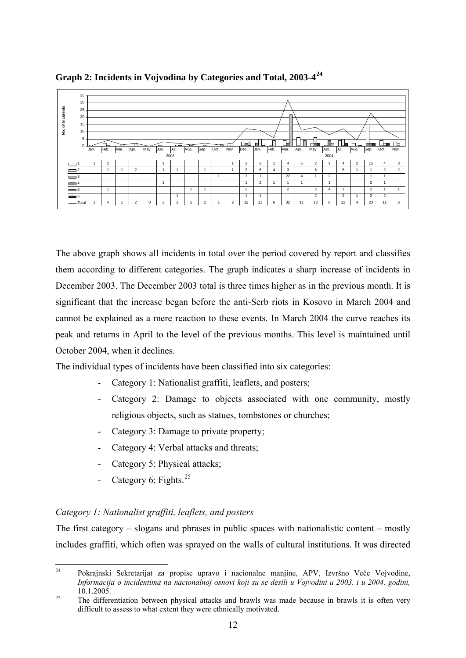

**Graph 2: Incidents in Vojvodina by Categories and Total, 2003-4[24](#page-14-0)**

The above graph shows all incidents in total over the period covered by report and classifies them according to different categories. The graph indicates a sharp increase of incidents in December 2003. The December 2003 total is three times higher as in the previous month. It is significant that the increase began before the anti-Serb riots in Kosovo in March 2004 and cannot be explained as a mere reaction to these events. In March 2004 the curve reaches its peak and returns in April to the level of the previous months. This level is maintained until October 2004, when it declines.

The individual types of incidents have been classified into six categories:

- Category 1: Nationalist graffiti, leaflets, and posters;
- Category 2: Damage to objects associated with one community, mostly religious objects, such as statues, tombstones or churches;
- Category 3: Damage to private property;
- Category 4: Verbal attacks and threats;
- Category 5: Physical attacks;
- Category 6: Fights. $^{25}$  $^{25}$  $^{25}$

# *Category 1: Nationalist graffiti, leaflets, and posters*

The first category – slogans and phrases in public spaces with nationalistic content – mostly includes graffiti, which often was sprayed on the walls of cultural institutions. It was directed

<span id="page-14-0"></span> $24$ 24 Pokrajnski Sekretarijat za propise upravo i nacionalne manjine, APV, Izvršno Veče Vojvodine, *Informacija o incidentima na nacionalnoj osnovi koji su se desili u Vojvodini u 2003. i u 2004. godini,* 10.1.2005.<br><sup>25</sup> The differentiation between physical attacks and brawls was made because in brawls it is often very

<span id="page-14-1"></span>difficult to assess to what extent they were ethnically motivated.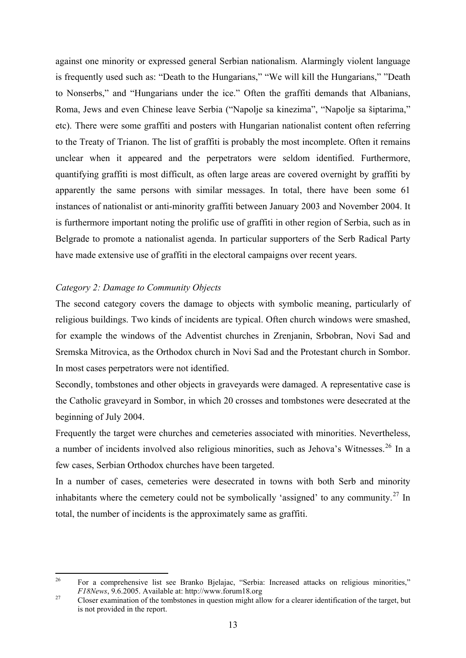against one minority or expressed general Serbian nationalism. Alarmingly violent language is frequently used such as: "Death to the Hungarians," "We will kill the Hungarians," "Death to Nonserbs," and "Hungarians under the ice." Often the graffiti demands that Albanians, Roma, Jews and even Chinese leave Serbia ("Napolje sa kinezima", "Napolje sa šiptarima," etc). There were some graffiti and posters with Hungarian nationalist content often referring to the Treaty of Trianon. The list of graffiti is probably the most incomplete. Often it remains unclear when it appeared and the perpetrators were seldom identified. Furthermore, quantifying graffiti is most difficult, as often large areas are covered overnight by graffiti by apparently the same persons with similar messages. In total, there have been some 61 instances of nationalist or anti-minority graffiti between January 2003 and November 2004. It is furthermore important noting the prolific use of graffiti in other region of Serbia, such as in Belgrade to promote a nationalist agenda. In particular supporters of the Serb Radical Party have made extensive use of graffiti in the electoral campaigns over recent years.

# *Category 2: Damage to Community Objects*

The second category covers the damage to objects with symbolic meaning, particularly of religious buildings. Two kinds of incidents are typical. Often church windows were smashed, for example the windows of the Adventist churches in Zrenjanin, Srbobran, Novi Sad and Sremska Mitrovica, as the Orthodox church in Novi Sad and the Protestant church in Sombor. In most cases perpetrators were not identified.

Secondly, tombstones and other objects in graveyards were damaged. A representative case is the Catholic graveyard in Sombor, in which 20 crosses and tombstones were desecrated at the beginning of July 2004.

Frequently the target were churches and cemeteries associated with minorities. Nevertheless, a number of incidents involved also religious minorities, such as Jehova's Witnesses.<sup>[26](#page-15-0)</sup> In a few cases, Serbian Orthodox churches have been targeted.

In a number of cases, cemeteries were desecrated in towns with both Serb and minority inhabitants where the cemetery could not be symbolically 'assigned' to any community.<sup>[27](#page-15-1)</sup> In total, the number of incidents is the approximately same as graffiti.

<span id="page-15-0"></span> $26$ 26 For a comprehensive list see Branko Bjelajac, "Serbia: Increased attacks on religious minorities," *F18News*, 9.6.2005. Available at: http://www.forum18.org<br><sup>27</sup> Closer examination of the tombstones in question might allow for a clearer identification of the target, but

<span id="page-15-1"></span>is not provided in the report.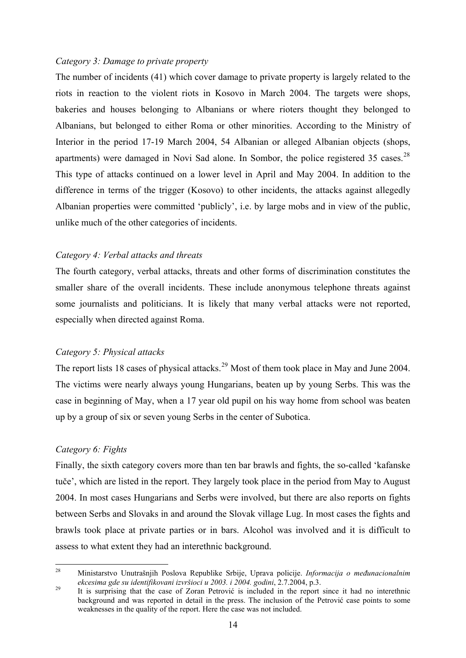#### *Category 3: Damage to private property*

The number of incidents (41) which cover damage to private property is largely related to the riots in reaction to the violent riots in Kosovo in March 2004. The targets were shops, bakeries and houses belonging to Albanians or where rioters thought they belonged to Albanians, but belonged to either Roma or other minorities. According to the Ministry of Interior in the period 17-19 March 2004, 54 Albanian or alleged Albanian objects (shops, apartments) were damaged in Novi Sad alone. In Sombor, the police registered 35 cases.  $28$ This type of attacks continued on a lower level in April and May 2004. In addition to the difference in terms of the trigger (Kosovo) to other incidents, the attacks against allegedly Albanian properties were committed 'publicly', i.e. by large mobs and in view of the public, unlike much of the other categories of incidents.

## *Category 4: Verbal attacks and threats*

The fourth category, verbal attacks, threats and other forms of discrimination constitutes the smaller share of the overall incidents. These include anonymous telephone threats against some journalists and politicians. It is likely that many verbal attacks were not reported, especially when directed against Roma.

## *Category 5: Physical attacks*

The report lists 18 cases of physical attacks.<sup>[29](#page-16-1)</sup> Most of them took place in May and June 2004. The victims were nearly always young Hungarians, beaten up by young Serbs. This was the case in beginning of May, when a 17 year old pupil on his way home from school was beaten up by a group of six or seven young Serbs in the center of Subotica.

## *Category 6: Fights*

Finally, the sixth category covers more than ten bar brawls and fights, the so-called 'kafanske tuče', which are listed in the report. They largely took place in the period from May to August 2004. In most cases Hungarians and Serbs were involved, but there are also reports on fights between Serbs and Slovaks in and around the Slovak village Lug. In most cases the fights and brawls took place at private parties or in bars. Alcohol was involved and it is difficult to assess to what extent they had an interethnic background.

<span id="page-16-0"></span><sup>28</sup> 28 Ministarstvo Unutrašnjih Poslova Republike Srbije, Uprava policije. *Informacija o međunacionalnim* 

<span id="page-16-1"></span>*ekcesima gde su identifikovani izvršioci u 2003. i 2004. godini*, 2.7.2004, p.3.<br><sup>29</sup> It is surprising that the case of Zoran Petrović is included in the report since it had no interethnic background and was reported in detail in the press. The inclusion of the Petrović case points to some weaknesses in the quality of the report. Here the case was not included.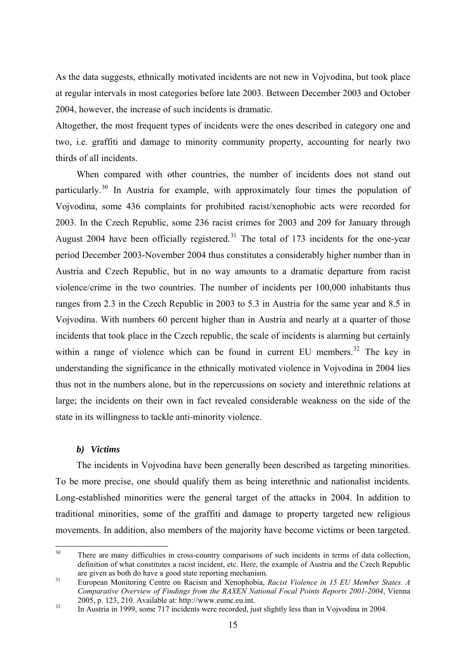<span id="page-17-0"></span>As the data suggests, ethnically motivated incidents are not new in Vojvodina, but took place at regular intervals in most categories before late 2003. Between December 2003 and October 2004, however, the increase of such incidents is dramatic.

Altogether, the most frequent types of incidents were the ones described in category one and two, i.e. graffiti and damage to minority community property, accounting for nearly two thirds of all incidents.

When compared with other countries, the number of incidents does not stand out particularly.[30](#page-17-1) In Austria for example, with approximately four times the population of Vojvodina, some 436 complaints for prohibited racist/xenophobic acts were recorded for 2003. In the Czech Republic, some 236 racist crimes for 2003 and 209 for January through August 2004 have been officially registered.<sup>[31](#page-17-2)</sup> The total of 173 incidents for the one-year period December 2003-November 2004 thus constitutes a considerably higher number than in Austria and Czech Republic, but in no way amounts to a dramatic departure from racist violence/crime in the two countries. The number of incidents per 100,000 inhabitants thus ranges from 2.3 in the Czech Republic in 2003 to 5.3 in Austria for the same year and 8.5 in Vojvodina. With numbers 60 percent higher than in Austria and nearly at a quarter of those incidents that took place in the Czech republic, the scale of incidents is alarming but certainly within a range of violence which can be found in current EU members.<sup>[32](#page-17-3)</sup> The key in understanding the significance in the ethnically motivated violence in Vojvodina in 2004 lies thus not in the numbers alone, but in the repercussions on society and interethnic relations at large; the incidents on their own in fact revealed considerable weakness on the side of the state in its willingness to tackle anti-minority violence.

### *b) Victims*

The incidents in Vojvodina have been generally been described as targeting minorities. To be more precise, one should qualify them as being interethnic and nationalist incidents. Long-established minorities were the general target of the attacks in 2004. In addition to traditional minorities, some of the graffiti and damage to property targeted new religious movements. In addition, also members of the majority have become victims or been targeted.

<span id="page-17-1"></span> $30$ There are many difficulties in cross-country comparisons of such incidents in terms of data collection, definition of what constitutes a racist incident, etc. Here, the example of Austria and the Czech Republic are given as both do have a good state reporting mechanism.

<span id="page-17-2"></span>are given as both do have a good state reporting mechanism. 31 European Monitoring Centre on Racism and Xenophobia, *Racist Violence in 15 EU Member States. A Comparative Overview of Findings from the RAXEN National Focal Points Reports 2001-2004*, Vienna

<span id="page-17-3"></span><sup>&</sup>lt;sup>32</sup> In Austria in 1999, some 717 incidents were recorded, just slightly less than in Vojvodina in 2004.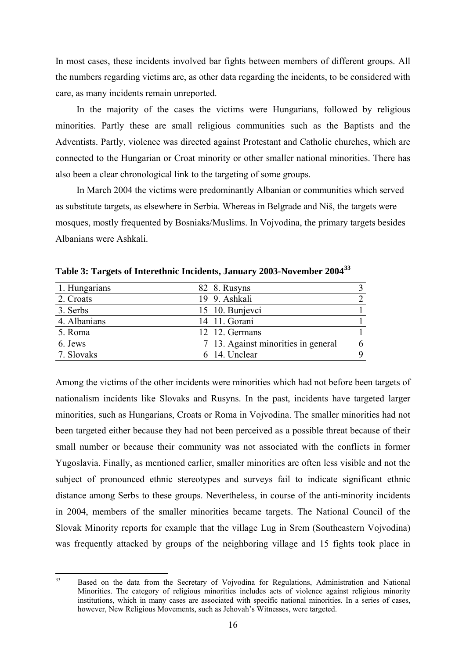In most cases, these incidents involved bar fights between members of different groups. All the numbers regarding victims are, as other data regarding the incidents, to be considered with care, as many incidents remain unreported.

In the majority of the cases the victims were Hungarians, followed by religious minorities. Partly these are small religious communities such as the Baptists and the Adventists. Partly, violence was directed against Protestant and Catholic churches, which are connected to the Hungarian or Croat minority or other smaller national minorities. There has also been a clear chronological link to the targeting of some groups.

In March 2004 the victims were predominantly Albanian or communities which served as substitute targets, as elsewhere in Serbia. Whereas in Belgrade and Niš, the targets were mosques, mostly frequented by Bosniaks/Muslims. In Vojvodina, the primary targets besides Albanians were Ashkali.

| 1. Hungarians | $82 \mid 8$ . Rusyns                |   |
|---------------|-------------------------------------|---|
| 2. Croats     | 19 9. Ashkali                       |   |
| 3. Serbs      | $15 \mid 10$ . Bunjevci             |   |
| 4. Albanians  | 14 11. Gorani                       |   |
| 5. Roma       | $12$   12. Germans                  |   |
| 6. Jews       | 7 13. Against minorities in general | 6 |
| 7. Slovaks    | 14. Unclear                         | Q |

**Table 3: Targets of Interethnic Incidents, January 2003-November 2004[33](#page-18-0)**

Among the victims of the other incidents were minorities which had not before been targets of nationalism incidents like Slovaks and Rusyns. In the past, incidents have targeted larger minorities, such as Hungarians, Croats or Roma in Vojvodina. The smaller minorities had not been targeted either because they had not been perceived as a possible threat because of their small number or because their community was not associated with the conflicts in former Yugoslavia. Finally, as mentioned earlier, smaller minorities are often less visible and not the subject of pronounced ethnic stereotypes and surveys fail to indicate significant ethnic distance among Serbs to these groups. Nevertheless, in course of the anti-minority incidents in 2004, members of the smaller minorities became targets. The National Council of the Slovak Minority reports for example that the village Lug in Srem (Southeastern Vojvodina) was frequently attacked by groups of the neighboring village and 15 fights took place in

<span id="page-18-0"></span> $33$ Based on the data from the Secretary of Vojvodina for Regulations, Administration and National Minorities. The category of religious minorities includes acts of violence against religious minority institutions, which in many cases are associated with specific national minorities. In a series of cases, however, New Religious Movements, such as Jehovah's Witnesses, were targeted.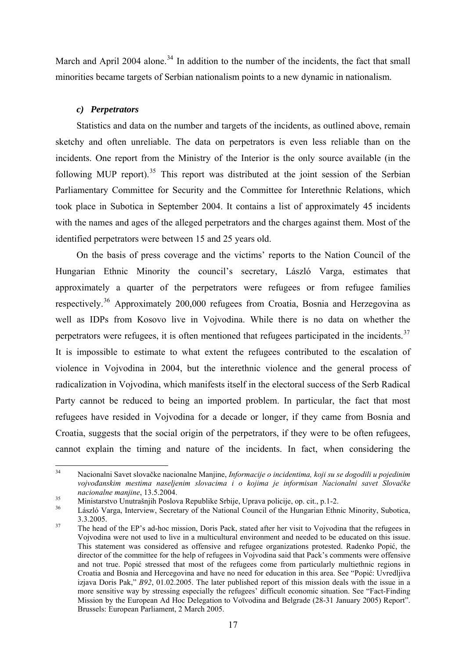<span id="page-19-0"></span>March and April 2004 alone.<sup>[34](#page-19-1)</sup> In addition to the number of the incidents, the fact that small minorities became targets of Serbian nationalism points to a new dynamic in nationalism.

# *c) Perpetrators*

Statistics and data on the number and targets of the incidents, as outlined above, remain sketchy and often unreliable. The data on perpetrators is even less reliable than on the incidents. One report from the Ministry of the Interior is the only source available (in the following MUP report).<sup>[35](#page-19-2)</sup> This report was distributed at the joint session of the Serbian Parliamentary Committee for Security and the Committee for Interethnic Relations, which took place in Subotica in September 2004. It contains a list of approximately 45 incidents with the names and ages of the alleged perpetrators and the charges against them. Most of the identified perpetrators were between 15 and 25 years old.

On the basis of press coverage and the victims' reports to the Nation Council of the Hungarian Ethnic Minority the council's secretary, László Varga, estimates that approximately a quarter of the perpetrators were refugees or from refugee families respectively.[36](#page-19-3) Approximately 200,000 refugees from Croatia, Bosnia and Herzegovina as well as IDPs from Kosovo live in Vojvodina. While there is no data on whether the perpetrators were refugees, it is often mentioned that refugees participated in the incidents.<sup>[37](#page-19-4)</sup> It is impossible to estimate to what extent the refugees contributed to the escalation of violence in Vojvodina in 2004, but the interethnic violence and the general process of radicalization in Vojvodina, which manifests itself in the electoral success of the Serb Radical Party cannot be reduced to being an imported problem. In particular, the fact that most refugees have resided in Vojvodina for a decade or longer, if they came from Bosnia and Croatia, suggests that the social origin of the perpetrators, if they were to be often refugees, cannot explain the timing and nature of the incidents. In fact, when considering the

<span id="page-19-1"></span> $34$ 34 Nacionalni Savet slovačke nacionalne Manjine, *Informacije o incidentima, koji su se dogodili u pojedinim vojvođanskim mestima naseljenim slovacima i o kojima je informisan Nacionalni savet Slovačke* 

*nacionalne manjine*, 13.5.2004. 35 Ministarstvo Unutrašnjih Poslova Republike Srbije, Uprava policije, op. cit., p.1-2.

<span id="page-19-3"></span><span id="page-19-2"></span>László Varga, Interview, Secretary of the National Council of the Hungarian Ethnic Minority, Subotica, 3.3.2005.<br><sup>37</sup> The head of the EP's ad-hoc mission, Doris Pack, stated after her visit to Vojvodina that the refugees in

<span id="page-19-4"></span>Vojvodina were not used to live in a multicultural environment and needed to be educated on this issue. This statement was considered as offensive and refugee organizations protested. Radenko Popić, the director of the committee for the help of refugees in Vojvodina said that Pack's comments were offensive and not true. Popić stressed that most of the refugees come from particularly multiethnic regions in Croatia and Bosnia and Hercegovina and have no need for education in this area. See "Popić: Uvredljiva izjava Doris Pak," *B92*, 01.02.2005. The later published report of this mission deals with the issue in a more sensitive way by stressing especially the refugees' difficult economic situation. See "Fact-Finding Mission by the European Ad Hoc Delegation to Voϊvodina and Belgrade (28-31 January 2005) Report". Brussels: European Parliament, 2 March 2005.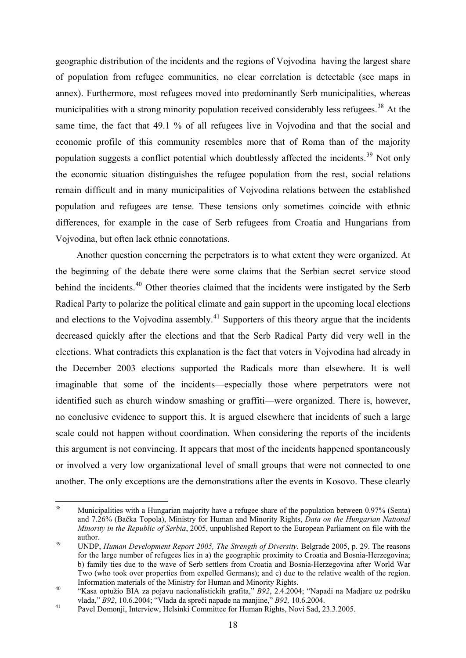geographic distribution of the incidents and the regions of Vojvodina having the largest share of population from refugee communities, no clear correlation is detectable (see maps in annex). Furthermore, most refugees moved into predominantly Serb municipalities, whereas municipalities with a strong minority population received considerably less refugees.<sup>[38](#page-20-0)</sup> At the same time, the fact that 49.1 % of all refugees live in Vojvodina and that the social and economic profile of this community resembles more that of Roma than of the majority population suggests a conflict potential which doubtlessly affected the incidents.<sup>[39](#page-20-1)</sup> Not only the economic situation distinguishes the refugee population from the rest, social relations remain difficult and in many municipalities of Vojvodina relations between the established population and refugees are tense. These tensions only sometimes coincide with ethnic differences, for example in the case of Serb refugees from Croatia and Hungarians from Vojvodina, but often lack ethnic connotations.

Another question concerning the perpetrators is to what extent they were organized. At the beginning of the debate there were some claims that the Serbian secret service stood behind the incidents.<sup>[40](#page-20-2)</sup> Other theories claimed that the incidents were instigated by the Serb Radical Party to polarize the political climate and gain support in the upcoming local elections and elections to the Vojvodina assembly.<sup>[41](#page-20-3)</sup> Supporters of this theory argue that the incidents decreased quickly after the elections and that the Serb Radical Party did very well in the elections. What contradicts this explanation is the fact that voters in Vojvodina had already in the December 2003 elections supported the Radicals more than elsewhere. It is well imaginable that some of the incidents—especially those where perpetrators were not identified such as church window smashing or graffiti—were organized. There is, however, no conclusive evidence to support this. It is argued elsewhere that incidents of such a large scale could not happen without coordination. When considering the reports of the incidents this argument is not convincing. It appears that most of the incidents happened spontaneously or involved a very low organizational level of small groups that were not connected to one another. The only exceptions are the demonstrations after the events in Kosovo. These clearly

<span id="page-20-0"></span><sup>38</sup> 38 Municipalities with a Hungarian majority have a refugee share of the population between 0.97% (Senta) and 7.26% (Bačka Topola), Ministry for Human and Minority Rights, *Data on the Hungarian National Minority in the Republic of Serbia*, 2005, unpublished Report to the European Parliament on file with the author. 39 UNDP, *Human Development Report 2005, The Strength of Diversity*. Belgrade 2005, p. 29. The reasons

<span id="page-20-1"></span>for the large number of refugees lies in a) the geographic proximity to Croatia and Bosnia-Herzegovina; b) family ties due to the wave of Serb settlers from Croatia and Bosnia-Herzegovina after World War Two (who took over properties from expelled Germans); and c) due to the relative wealth of the region.

<span id="page-20-2"></span>Information materials of the Ministry for Human and Minority Rights. 40 "Kasa optužio BIA za pojavu nacionalistickih grafita," *B92*, 2.4.2004; "Napadi na Madjare uz podršku

<span id="page-20-3"></span>vlada, "*B92*, 10.6.2004; "Vlada" da spreči napade na manjine, "*B92*, 10.6.2004."<br>Pavel Domonji, Interview, Helsinki Committee for Human Rights, Novi Sad, 23.3.2005.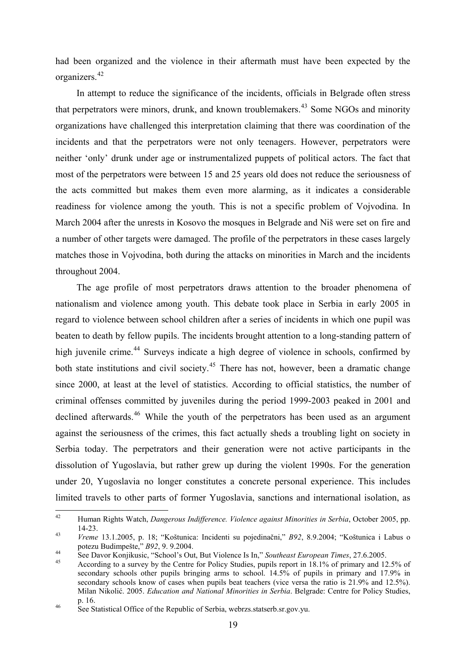had been organized and the violence in their aftermath must have been expected by the organizers.[42](#page-21-0)

In attempt to reduce the significance of the incidents, officials in Belgrade often stress that perpetrators were minors, drunk, and known troublemakers.<sup>[43](#page-21-1)</sup> Some NGOs and minority organizations have challenged this interpretation claiming that there was coordination of the incidents and that the perpetrators were not only teenagers. However, perpetrators were neither 'only' drunk under age or instrumentalized puppets of political actors. The fact that most of the perpetrators were between 15 and 25 years old does not reduce the seriousness of the acts committed but makes them even more alarming, as it indicates a considerable readiness for violence among the youth. This is not a specific problem of Vojvodina. In March 2004 after the unrests in Kosovo the mosques in Belgrade and Niš were set on fire and a number of other targets were damaged. The profile of the perpetrators in these cases largely matches those in Vojvodina, both during the attacks on minorities in March and the incidents throughout 2004.

The age profile of most perpetrators draws attention to the broader phenomena of nationalism and violence among youth. This debate took place in Serbia in early 2005 in regard to violence between school children after a series of incidents in which one pupil was beaten to death by fellow pupils. The incidents brought attention to a long-standing pattern of high juvenile crime.<sup>[44](#page-21-2)</sup> Surveys indicate a high degree of violence in schools, confirmed by both state institutions and civil society.<sup>[45](#page-21-3)</sup> There has not, however, been a dramatic change since 2000, at least at the level of statistics. According to official statistics, the number of criminal offenses committed by juveniles during the period 1999-2003 peaked in 2001 and declined afterwards.<sup>[46](#page-21-4)</sup> While the youth of the perpetrators has been used as an argument against the seriousness of the crimes, this fact actually sheds a troubling light on society in Serbia today. The perpetrators and their generation were not active participants in the dissolution of Yugoslavia, but rather grew up during the violent 1990s. For the generation under 20, Yugoslavia no longer constitutes a concrete personal experience. This includes limited travels to other parts of former Yugoslavia, sanctions and international isolation, as

<span id="page-21-0"></span> $42 \overline{ }$ 42 Human Rights Watch, *Dangerous Indifference. Violence against Minorities in Serbia*, October 2005, pp. 14-23. 43 *Vreme* 13.1.2005, p. 18; "Koštunica: Incidenti su pojedinačni," *B92*, 8.9.2004; "Koštunica i Labus o

<span id="page-21-1"></span>potezu Budimpešte," B92, 9. 9.2004.<br>See Davor Konjikusic, "School's Out, But Violence Is In," Southeast European Times, 27.6.2005.<br>According to a survey by the Centre for Policy Studies, pupils report in 18.1% of primary a

<span id="page-21-2"></span>

<span id="page-21-3"></span>secondary schools other pupils bringing arms to school. 14.5% of pupils in primary and 17.9% in secondary schools know of cases when pupils beat teachers (vice versa the ratio is 21.9% and 12.5%). Milan Nikolić. 2005. *Education and National Minorities in Serbia*. Belgrade: Centre for Policy Studies,

<span id="page-21-4"></span>p. 16.<br>
See Statistical Office of the Republic of Serbia, webrzs.statserb.sr.gov.yu.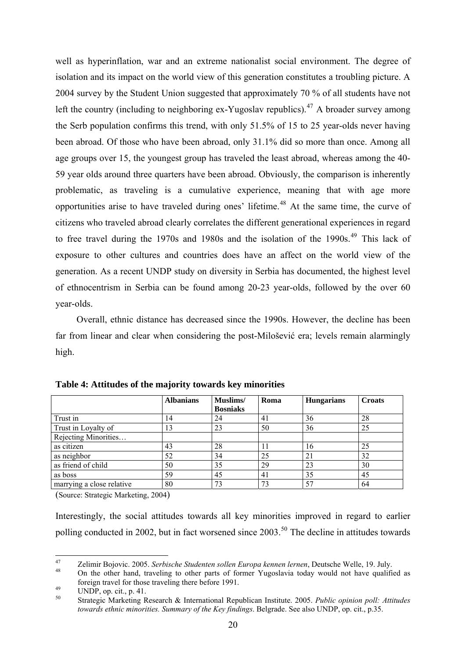well as hyperinflation, war and an extreme nationalist social environment. The degree of isolation and its impact on the world view of this generation constitutes a troubling picture. A 2004 survey by the Student Union suggested that approximately 70 % of all students have not left the country (including to neighboring ex-Yugoslav republics).<sup>[47](#page-22-0)</sup> A broader survey among the Serb population confirms this trend, with only 51.5% of 15 to 25 year-olds never having been abroad. Of those who have been abroad, only 31.1% did so more than once. Among all age groups over 15, the youngest group has traveled the least abroad, whereas among the 40- 59 year olds around three quarters have been abroad. Obviously, the comparison is inherently problematic, as traveling is a cumulative experience, meaning that with age more opportunities arise to have traveled during ones' lifetime.<sup>[48](#page-22-1)</sup> At the same time, the curve of citizens who traveled abroad clearly correlates the different generational experiences in regard to free travel during the 1970s and 1980s and the isolation of the 1990s.<sup>[49](#page-22-2)</sup> This lack of exposure to other cultures and countries does have an affect on the world view of the generation. As a recent UNDP study on diversity in Serbia has documented, the highest level of ethnocentrism in Serbia can be found among 20-23 year-olds, followed by the over 60 year-olds.

Overall, ethnic distance has decreased since the 1990s. However, the decline has been far from linear and clear when considering the post-Milošević era; levels remain alarmingly high.

|                           | <b>Albanians</b> | Muslims/<br><b>Bosniaks</b> | Roma | <b>Hungarians</b> | <b>Croats</b> |
|---------------------------|------------------|-----------------------------|------|-------------------|---------------|
| Trust in                  | 14               | 24                          | 41   | 36                | 28            |
| Trust in Loyalty of       | 13               | 23                          | 50   | 36                | 25            |
| Rejecting Minorities      |                  |                             |      |                   |               |
| as citizen                | 43               | 28                          |      | 16                | 25            |
| as neighbor               | 52               | 34                          | 25   | 21                | 32            |
| as friend of child        | 50               | 35                          | 29   | 23                | 30            |
| as boss                   | 59               | 45                          | 41   | 35                | 45            |
| marrying a close relative | 80               | 73                          | 73   | 57                | 64            |

**Table 4: Attitudes of the majority towards key minorities** 

(Source: Strategic Marketing, 2004)

Interestingly, the social attitudes towards all key minorities improved in regard to earlier polling conducted in 2002, but in fact worsened since 2003.<sup>[50](#page-22-3)</sup> The decline in attitudes towards

<span id="page-22-0"></span> $47$ <sup>47</sup> Zelimir Bojovic. 2005. *Serbische Studenten sollen Europa kennen lernen*, Deutsche Welle, 19. July.<br><sup>48</sup> On the other hand, traveling to other parts of former Yugoslavia today would not have qualified as

<span id="page-22-1"></span>foreign travel for those traveling there before 1991.<br>UNDP, op. cit., p. 41.

<span id="page-22-2"></span>

<span id="page-22-3"></span><sup>50</sup> Strategic Marketing Research & International Republican Institute. 2005. *Public opinion poll: Attitudes towards ethnic minorities. Summary of the Key findings*. Belgrade. See also UNDP, op. cit., p.35.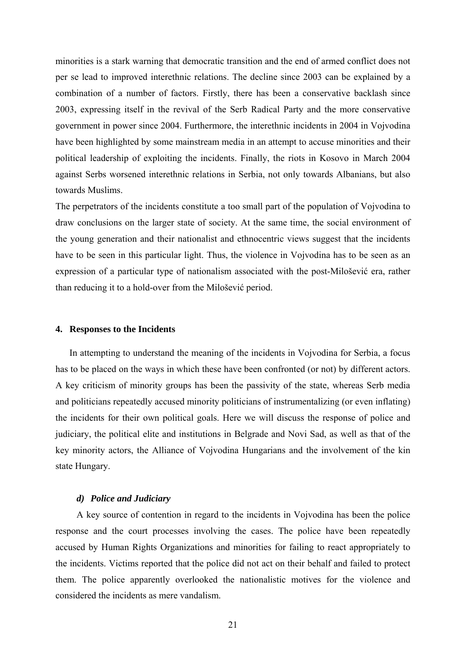<span id="page-23-0"></span>minorities is a stark warning that democratic transition and the end of armed conflict does not per se lead to improved interethnic relations. The decline since 2003 can be explained by a combination of a number of factors. Firstly, there has been a conservative backlash since 2003, expressing itself in the revival of the Serb Radical Party and the more conservative government in power since 2004. Furthermore, the interethnic incidents in 2004 in Vojvodina have been highlighted by some mainstream media in an attempt to accuse minorities and their political leadership of exploiting the incidents. Finally, the riots in Kosovo in March 2004 against Serbs worsened interethnic relations in Serbia, not only towards Albanians, but also towards Muslims.

The perpetrators of the incidents constitute a too small part of the population of Vojvodina to draw conclusions on the larger state of society. At the same time, the social environment of the young generation and their nationalist and ethnocentric views suggest that the incidents have to be seen in this particular light. Thus, the violence in Vojvodina has to be seen as an expression of a particular type of nationalism associated with the post-Milošević era, rather than reducing it to a hold-over from the Milošević period.

#### **4. Responses to the Incidents**

In attempting to understand the meaning of the incidents in Vojvodina for Serbia, a focus has to be placed on the ways in which these have been confronted (or not) by different actors. A key criticism of minority groups has been the passivity of the state, whereas Serb media and politicians repeatedly accused minority politicians of instrumentalizing (or even inflating) the incidents for their own political goals. Here we will discuss the response of police and judiciary, the political elite and institutions in Belgrade and Novi Sad, as well as that of the key minority actors, the Alliance of Vojvodina Hungarians and the involvement of the kin state Hungary.

#### *d) Police and Judiciary*

A key source of contention in regard to the incidents in Vojvodina has been the police response and the court processes involving the cases. The police have been repeatedly accused by Human Rights Organizations and minorities for failing to react appropriately to the incidents. Victims reported that the police did not act on their behalf and failed to protect them. The police apparently overlooked the nationalistic motives for the violence and considered the incidents as mere vandalism.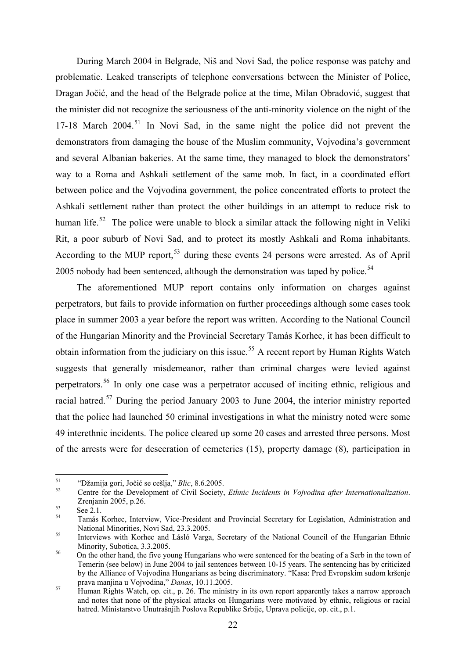During March 2004 in Belgrade, Niš and Novi Sad, the police response was patchy and problematic. Leaked transcripts of telephone conversations between the Minister of Police, Dragan Jočić, and the head of the Belgrade police at the time, Milan Obradović, suggest that the minister did not recognize the seriousness of the anti-minority violence on the night of the 17-18 March  $2004$ <sup>[51](#page-24-0)</sup> In Novi Sad, in the same night the police did not prevent the demonstrators from damaging the house of the Muslim community, Vojvodina's government and several Albanian bakeries. At the same time, they managed to block the demonstrators' way to a Roma and Ashkali settlement of the same mob. In fact, in a coordinated effort between police and the Vojvodina government, the police concentrated efforts to protect the Ashkali settlement rather than protect the other buildings in an attempt to reduce risk to human life.<sup>[52](#page-24-1)</sup> The police were unable to block a similar attack the following night in Veliki Rit, a poor suburb of Novi Sad, and to protect its mostly Ashkali and Roma inhabitants. According to the MUP report,  $53$  during these events 24 persons were arrested. As of April 2005 nobody had been sentenced, although the demonstration was taped by police.<sup>[54](#page-24-3)</sup>

The aforementioned MUP report contains only information on charges against perpetrators, but fails to provide information on further proceedings although some cases took place in summer 2003 a year before the report was written. According to the National Council of the Hungarian Minority and the Provincial Secretary Tamás Korhec, it has been difficult to obtain information from the judiciary on this issue.<sup>[55](#page-24-4)</sup> A recent report by Human Rights Watch suggests that generally misdemeanor, rather than criminal charges were levied against perpetrators.[56](#page-24-5) In only one case was a perpetrator accused of inciting ethnic, religious and racial hatred.<sup>[57](#page-24-6)</sup> During the period January 2003 to June 2004, the interior ministry reported that the police had launched 50 criminal investigations in what the ministry noted were some 49 interethnic incidents. The police cleared up some 20 cases and arrested three persons. Most of the arrests were for desecration of cemeteries (15), property damage (8), participation in

 $51$ 

<span id="page-24-1"></span><span id="page-24-0"></span><sup>51 &</sup>quot;Džamija gori, Jočić se cešlja," *Blic*, 8.6.2005. 52 Centre for the Development of Civil Society, *Ethnic Incidents in Vojvodina after Internationalization*.  $\sum_{53}$  Zrenjanin 2005, p.26.<br>See 2.1.<br> $\sum_{54}$  Temás Kerbes, Jutan.

<span id="page-24-2"></span>

<span id="page-24-3"></span>Tamás Korhec, Interview, Vice-President and Provincial Secretary for Legislation, Administration and National Minorities, Novi Sad, 23.3.2005. 55 Interviews with Korhec and Lásló Varga, Secretary of the National Council of the Hungarian Ethnic

<span id="page-24-4"></span>Minority, Subotica, 3.3.2005.<br><sup>56</sup> On the other hand, the five young Hungarians who were sentenced for the beating of a Serb in the town of

<span id="page-24-5"></span>Temerin (see below) in June 2004 to jail sentences between 10-15 years. The sentencing has by criticized by the Alliance of Vojvodina Hungarians as being discriminatory. "Kasa: Pred Evropskim sudom kršenje prava manjina u Vojvodina," Danas, 10.11.2005.

<span id="page-24-6"></span>prava manjina u Vojvodina," *Danas*, 10.11.2005. 57 Human Rights Watch, op. cit., p. 26. The ministry in its own report apparently takes a narrow approach and notes that none of the physical attacks on Hungarians were motivated by ethnic, religious or racial hatred. Ministarstvo Unutrašnjih Poslova Republike Srbije, Uprava policije, op. cit., p.1.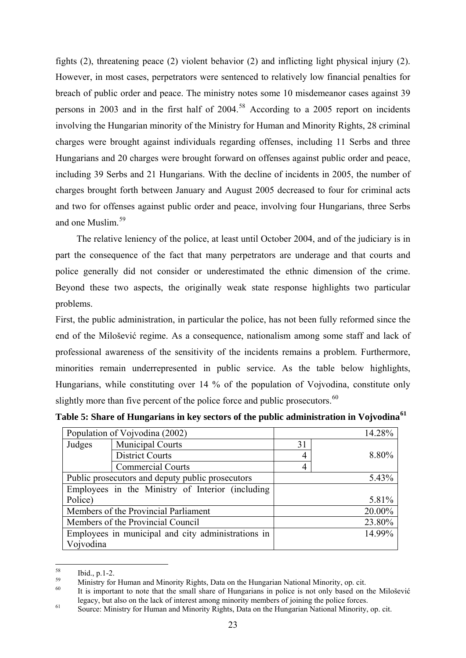fights (2), threatening peace (2) violent behavior (2) and inflicting light physical injury (2). However, in most cases, perpetrators were sentenced to relatively low financial penalties for breach of public order and peace. The ministry notes some 10 misdemeanor cases against 39 persons in 2003 and in the first half of  $2004$ <sup>[58](#page-25-0)</sup> According to a 2005 report on incidents involving the Hungarian minority of the Ministry for Human and Minority Rights, 28 criminal charges were brought against individuals regarding offenses, including 11 Serbs and three Hungarians and 20 charges were brought forward on offenses against public order and peace, including 39 Serbs and 21 Hungarians. With the decline of incidents in 2005, the number of charges brought forth between January and August 2005 decreased to four for criminal acts and two for offenses against public order and peace, involving four Hungarians, three Serbs and one Muslim<sup>[59](#page-25-1)</sup>

The relative leniency of the police, at least until October 2004, and of the judiciary is in part the consequence of the fact that many perpetrators are underage and that courts and police generally did not consider or underestimated the ethnic dimension of the crime. Beyond these two aspects, the originally weak state response highlights two particular problems.

First, the public administration, in particular the police, has not been fully reformed since the end of the Milošević regime. As a consequence, nationalism among some staff and lack of professional awareness of the sensitivity of the incidents remains a problem. Furthermore, minorities remain underrepresented in public service. As the table below highlights, Hungarians, while constituting over 14 % of the population of Vojvodina, constitute only slightly more than five percent of the police force and public prosecutors.<sup>[60](#page-25-2)</sup>

| Population of Vojvodina (2002)                     |                          |    | 14.28% |
|----------------------------------------------------|--------------------------|----|--------|
| Judges                                             | <b>Municipal Courts</b>  | 31 |        |
|                                                    | <b>District Courts</b>   |    | 8.80%  |
|                                                    | <b>Commercial Courts</b> |    |        |
| Public prosecutors and deputy public prosecutors   |                          |    | 5.43%  |
| Employees in the Ministry of Interior (including   |                          |    |        |
| Police)                                            |                          |    | 5.81%  |
| Members of the Provincial Parliament               |                          |    | 20.00% |
| Members of the Provincial Council                  |                          |    | 23.80% |
| Employees in municipal and city administrations in |                          |    | 14.99% |
| Vojvodina                                          |                          |    |        |

**Table 5: Share of Hungarians in key sectors of the public administration in Vojvodina[61](#page-25-3)**

<span id="page-25-0"></span><sup>58</sup>  $\frac{58}{59}$  Ibid., p.1-2.

<span id="page-25-1"></span><sup>&</sup>lt;sup>59</sup> Ministry for Human and Minority Rights, Data on the Hungarian National Minority, op. cit.

<span id="page-25-2"></span>It is important to note that the small share of Hungarians in police is not only based on the Milošević legacy, but also on the lack of interest among minority members of joining the police forces.

<span id="page-25-3"></span>legacy, but also on the lack of interest among minority members of joining the police forces. 61 Source: Ministry for Human and Minority Rights, Data on the Hungarian National Minority, op. cit.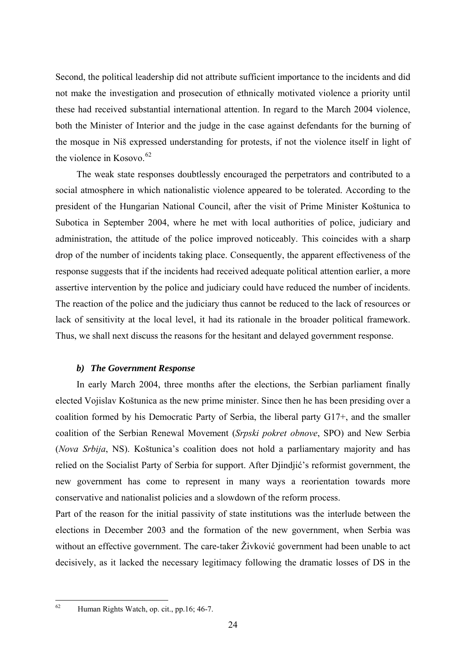<span id="page-26-0"></span>Second, the political leadership did not attribute sufficient importance to the incidents and did not make the investigation and prosecution of ethnically motivated violence a priority until these had received substantial international attention. In regard to the March 2004 violence, both the Minister of Interior and the judge in the case against defendants for the burning of the mosque in Niš expressed understanding for protests, if not the violence itself in light of the violence in Kosovo.<sup>[62](#page-26-1)</sup>

The weak state responses doubtlessly encouraged the perpetrators and contributed to a social atmosphere in which nationalistic violence appeared to be tolerated. According to the president of the Hungarian National Council, after the visit of Prime Minister Koštunica to Subotica in September 2004, where he met with local authorities of police, judiciary and administration, the attitude of the police improved noticeably. This coincides with a sharp drop of the number of incidents taking place. Consequently, the apparent effectiveness of the response suggests that if the incidents had received adequate political attention earlier, a more assertive intervention by the police and judiciary could have reduced the number of incidents. The reaction of the police and the judiciary thus cannot be reduced to the lack of resources or lack of sensitivity at the local level, it had its rationale in the broader political framework. Thus, we shall next discuss the reasons for the hesitant and delayed government response.

## *b) The Government Response*

In early March 2004, three months after the elections, the Serbian parliament finally elected Vojislav Koštunica as the new prime minister. Since then he has been presiding over a coalition formed by his Democratic Party of Serbia, the liberal party G17+, and the smaller coalition of the Serbian Renewal Movement (*Srpski pokret obnove*, SPO) and New Serbia (*Nova Srbija*, NS). Koštunica's coalition does not hold a parliamentary majority and has relied on the Socialist Party of Serbia for support. After Djindjić's reformist government, the new government has come to represent in many ways a reorientation towards more conservative and nationalist policies and a slowdown of the reform process.

Part of the reason for the initial passivity of state institutions was the interlude between the elections in December 2003 and the formation of the new government, when Serbia was without an effective government. The care-taker Živković government had been unable to act decisively, as it lacked the necessary legitimacy following the dramatic losses of DS in the

<span id="page-26-1"></span> $62$ Human Rights Watch, op. cit., pp.16; 46-7.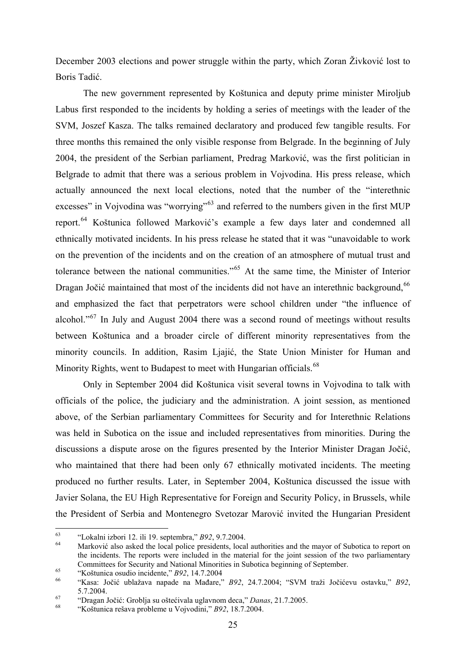December 2003 elections and power struggle within the party, which Zoran Živković lost to Boris Tadić.

The new government represented by Koštunica and deputy prime minister Miroljub Labus first responded to the incidents by holding a series of meetings with the leader of the SVM, Joszef Kasza. The talks remained declaratory and produced few tangible results. For three months this remained the only visible response from Belgrade. In the beginning of July 2004, the president of the Serbian parliament, Predrag Marković, was the first politician in Belgrade to admit that there was a serious problem in Vojvodina. His press release, which actually announced the next local elections, noted that the number of the "interethnic excesses" in Vojvodina was "worrying"<sup>[63](#page-27-0)</sup> and referred to the numbers given in the first MUP report.[64](#page-27-1) Koštunica followed Marković's example a few days later and condemned all ethnically motivated incidents. In his press release he stated that it was "unavoidable to work on the prevention of the incidents and on the creation of an atmosphere of mutual trust and tolerance between the national communities."[65](#page-27-2) At the same time, the Minister of Interior Dragan Jočić maintained that most of the incidents did not have an interethnic background.<sup>[66](#page-27-3)</sup> and emphasized the fact that perpetrators were school children under "the influence of alcohol."<sup>[67](#page-27-4)</sup> In July and August 2004 there was a second round of meetings without results between Koštunica and a broader circle of different minority representatives from the minority councils. In addition, Rasim Ljajić, the State Union Minister for Human and Minority Rights, went to Budapest to meet with Hungarian officials.<sup>[68](#page-27-5)</sup>

Only in September 2004 did Koštunica visit several towns in Vojvodina to talk with officials of the police, the judiciary and the administration. A joint session, as mentioned above, of the Serbian parliamentary Committees for Security and for Interethnic Relations was held in Subotica on the issue and included representatives from minorities. During the discussions a dispute arose on the figures presented by the Interior Minister Dragan Jočić, who maintained that there had been only 67 ethnically motivated incidents. The meeting produced no further results. Later, in September 2004, Koštunica discussed the issue with Javier Solana, the EU High Representative for Foreign and Security Policy, in Brussels, while the President of Serbia and Montenegro Svetozar Marović invited the Hungarian President

<span id="page-27-0"></span> $63$ 

<span id="page-27-1"></span><sup>&</sup>lt;sup>63</sup> "Lokalni izbori 12. ili 19. septembra," *B92*, 9.7.2004.<br><sup>64</sup> Marković also asked the local police presidents, local authorities and the mayor of Subotica to report on the incidents. The reports were included in the material for the joint session of the two parliamentary Committees for Security and National Minorities in Subotica beginning of September.<br>
"Koštunica osudio incidente," B92, 14.7.2004<br>
"Kasa: Jočić ublažava napade na Mađare," B92, 24.7.2004; "SVM traži Jočićevu ostavku," B92,

<span id="page-27-3"></span><span id="page-27-2"></span><sup>5.7.2004.</sup> 67 "Dragan Jočić: Groblja su oštećivala uglavnom deca," *Danas*, 21.7.2005. 68 "Koštunica rešava probleme u Vojvodini," *B92*, 18.7.2004.

<span id="page-27-5"></span><span id="page-27-4"></span>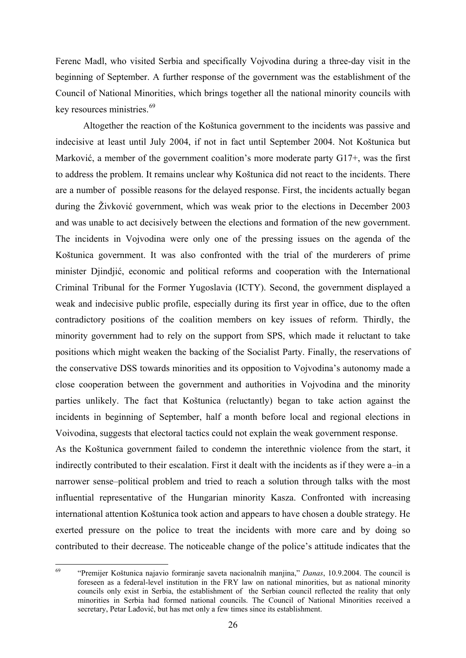Ferenc Madl, who visited Serbia and specifically Vojvodina during a three-day visit in the beginning of September. A further response of the government was the establishment of the Council of National Minorities, which brings together all the national minority councils with key resources ministries.<sup>[69](#page-28-0)</sup>

Altogether the reaction of the Koštunica government to the incidents was passive and indecisive at least until July 2004, if not in fact until September 2004. Not Koštunica but Marković, a member of the government coalition's more moderate party G17+, was the first to address the problem. It remains unclear why Koštunica did not react to the incidents. There are a number of possible reasons for the delayed response. First, the incidents actually began during the Živković government, which was weak prior to the elections in December 2003 and was unable to act decisively between the elections and formation of the new government. The incidents in Vojvodina were only one of the pressing issues on the agenda of the Koštunica government. It was also confronted with the trial of the murderers of prime minister Djindjić, economic and political reforms and cooperation with the International Criminal Tribunal for the Former Yugoslavia (ICTY). Second, the government displayed a weak and indecisive public profile, especially during its first year in office, due to the often contradictory positions of the coalition members on key issues of reform. Thirdly, the minority government had to rely on the support from SPS, which made it reluctant to take positions which might weaken the backing of the Socialist Party. Finally, the reservations of the conservative DSS towards minorities and its opposition to Vojvodina's autonomy made a close cooperation between the government and authorities in Vojvodina and the minority parties unlikely. The fact that Koštunica (reluctantly) began to take action against the incidents in beginning of September, half a month before local and regional elections in Voivodina, suggests that electoral tactics could not explain the weak government response.

As the Koštunica government failed to condemn the interethnic violence from the start, it indirectly contributed to their escalation. First it dealt with the incidents as if they were a–in a narrower sense–political problem and tried to reach a solution through talks with the most influential representative of the Hungarian minority Kasza. Confronted with increasing international attention Koštunica took action and appears to have chosen a double strategy. He exerted pressure on the police to treat the incidents with more care and by doing so contributed to their decrease. The noticeable change of the police's attitude indicates that the

<span id="page-28-0"></span><sup>69</sup> 69 "Premijer Koštunica najavio formiranje saveta nacionalnih manjina," *Danas*, 10.9.2004. The council is foreseen as a federal-level institution in the FRY law on national minorities, but as national minority councils only exist in Serbia, the establishment of the Serbian council reflected the reality that only minorities in Serbia had formed national councils. The Council of National Minorities received a secretary, Petar Lađović, but has met only a few times since its establishment.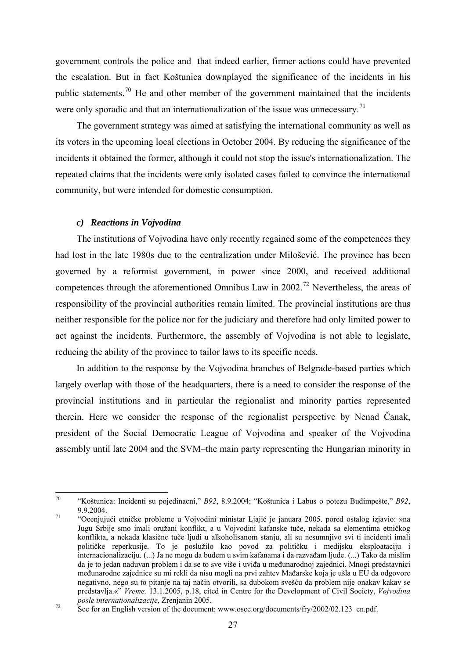<span id="page-29-0"></span>government controls the police and that indeed earlier, firmer actions could have prevented the escalation. But in fact Koštunica downplayed the significance of the incidents in his public statements.<sup>[70](#page-29-1)</sup> He and other member of the government maintained that the incidents were only sporadic and that an internationalization of the issue was unnecessary.<sup>[71](#page-29-2)</sup>

The government strategy was aimed at satisfying the international community as well as its voters in the upcoming local elections in October 2004. By reducing the significance of the incidents it obtained the former, although it could not stop the issue's internationalization. The repeated claims that the incidents were only isolated cases failed to convince the international community, but were intended for domestic consumption.

#### *c) Reactions in Vojvodina*

The institutions of Vojvodina have only recently regained some of the competences they had lost in the late 1980s due to the centralization under Milošević. The province has been governed by a reformist government, in power since 2000, and received additional competences through the aforementioned Omnibus Law in 2002.[72](#page-29-3) Nevertheless, the areas of responsibility of the provincial authorities remain limited. The provincial institutions are thus neither responsible for the police nor for the judiciary and therefore had only limited power to act against the incidents. Furthermore, the assembly of Vojvodina is not able to legislate, reducing the ability of the province to tailor laws to its specific needs.

In addition to the response by the Vojvodina branches of Belgrade-based parties which largely overlap with those of the headquarters, there is a need to consider the response of the provincial institutions and in particular the regionalist and minority parties represented therein. Here we consider the response of the regionalist perspective by Nenad Čanak, president of the Social Democratic League of Vojvodina and speaker of the Vojvodina assembly until late 2004 and the SVM–the main party representing the Hungarian minority in

<span id="page-29-1"></span><sup>70</sup> 70 "Koštunica: Incidenti su pojedinacni," *B92*, 8.9.2004; "Koštunica i Labus o potezu Budimpešte," *B92*,

<span id="page-29-2"></span><sup>9.9.2004. 71 &</sup>quot;Ocenjujući etničke probleme u Vojvodini ministar Ljajić je januara 2005. pored ostalog izjavio: »na Jugu Srbije smo imali oružani konflikt, a u Vojvodini kafanske tuče, nekada sa elementima etničkog konflikta, a nekada klasične tuče ljudi u alkoholisanom stanju, ali su nesumnjivo svi ti incidenti imali političke reperkusije. To je poslužilo kao povod za političku i medijsku eksploataciju i internacionalizaciju. (...) Ja ne mogu da budem u svim kafanama i da razvađam ljude. (...) Tako da mislim da je to jedan naduvan problem i da se to sve više i uviđa u međunarodnoj zajednici. Mnogi predstavnici međunarodne zajednice su mi rekli da nisu mogli na prvi zahtev Mađarske koja je ušla u EU da odgovore negativno, nego su to pitanje na taj način otvorili, sa dubokom svešću da problem nije onakav kakav se predstavlja.«" *Vreme,* 13.1.2005, p.18, cited in Centre for the Development of Civil Society, *Vojvodina* 

<span id="page-29-3"></span><sup>&</sup>lt;sup>72</sup> See for an English version of the document: www.osce.org/documents/fry/2002/02.123\_en.pdf.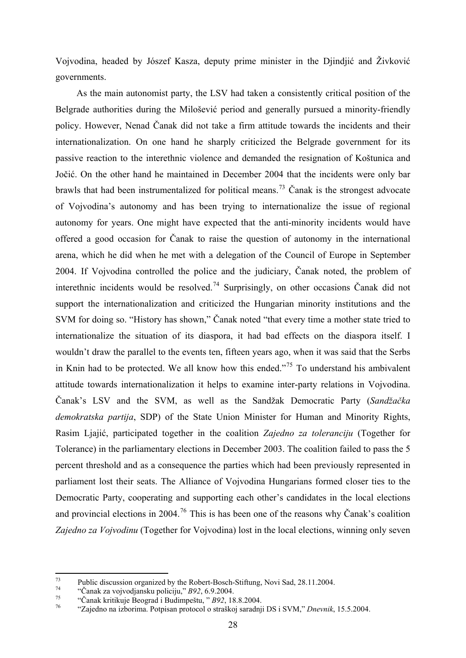Vojvodina, headed by Jószef Kasza, deputy prime minister in the Djindjić and Živković governments.

As the main autonomist party, the LSV had taken a consistently critical position of the Belgrade authorities during the Milošević period and generally pursued a minority-friendly policy. However, Nenad Čanak did not take a firm attitude towards the incidents and their internationalization. On one hand he sharply criticized the Belgrade government for its passive reaction to the interethnic violence and demanded the resignation of Koštunica and Jočić. On the other hand he maintained in December 2004 that the incidents were only bar brawls that had been instrumentalized for political means.<sup>[73](#page-30-0)</sup> Čanak is the strongest advocate of Vojvodina's autonomy and has been trying to internationalize the issue of regional autonomy for years. One might have expected that the anti-minority incidents would have offered a good occasion for Čanak to raise the question of autonomy in the international arena, which he did when he met with a delegation of the Council of Europe in September 2004. If Vojvodina controlled the police and the judiciary, Čanak noted, the problem of interethnic incidents would be resolved.<sup>[74](#page-30-1)</sup> Surprisingly, on other occasions Čanak did not support the internationalization and criticized the Hungarian minority institutions and the SVM for doing so. "History has shown," Čanak noted "that every time a mother state tried to internationalize the situation of its diaspora, it had bad effects on the diaspora itself. I wouldn't draw the parallel to the events ten, fifteen years ago, when it was said that the Serbs in Knin had to be protected. We all know how this ended.<sup> $75$ </sup> To understand his ambivalent attitude towards internationalization it helps to examine inter-party relations in Vojvodina. Čanak's LSV and the SVM, as well as the Sandžak Democratic Party (*Sandžačka demokratska partija*, SDP) of the State Union Minister for Human and Minority Rights, Rasim Ljajić, participated together in the coalition *Zajedno za toleranciju* (Together for Tolerance) in the parliamentary elections in December 2003. The coalition failed to pass the 5 percent threshold and as a consequence the parties which had been previously represented in parliament lost their seats. The Alliance of Vojvodina Hungarians formed closer ties to the Democratic Party, cooperating and supporting each other's candidates in the local elections and provincial elections in 2004.<sup>[76](#page-30-3)</sup> This is has been one of the reasons why Čanak's coalition *Zajedno za Vojvodinu* (Together for Vojvodina) lost in the local elections, winning only seven

<sup>73</sup> <sup>73</sup> Public discussion organized by the Robert-Bosch-Stiftung, Novi Sad, 28.11.2004.

<span id="page-30-1"></span><span id="page-30-0"></span>

<span id="page-30-3"></span><span id="page-30-2"></span>

<sup>&</sup>lt;sup>74</sup> "Čanak za vojvodjansku policiju," *B92*, 6.9.2004.<br>
"Čanak kritikuje Beograd i Budimpeštu, " *B92*, 18.8.2004.<br>
"Zajedno na izborima. Potpisan protocol o straškoj saradnji DS i SVM," *Dnevnik*, 15.5.2004.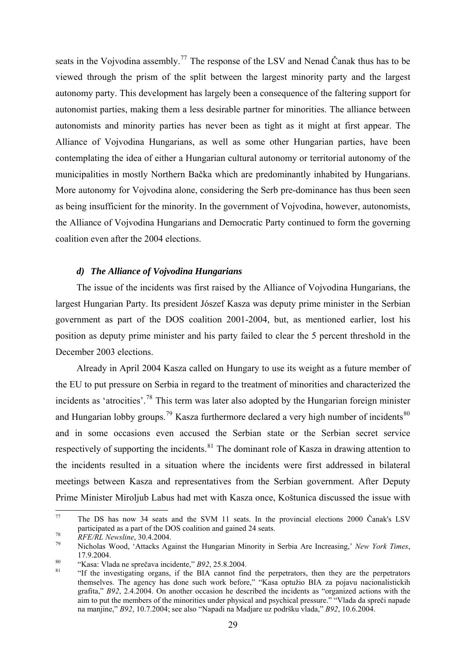<span id="page-31-0"></span>seats in the Vojvodina assembly.<sup>[77](#page-31-1)</sup> The response of the LSV and Nenad Čanak thus has to be viewed through the prism of the split between the largest minority party and the largest autonomy party. This development has largely been a consequence of the faltering support for autonomist parties, making them a less desirable partner for minorities. The alliance between autonomists and minority parties has never been as tight as it might at first appear. The Alliance of Vojvodina Hungarians, as well as some other Hungarian parties, have been contemplating the idea of either a Hungarian cultural autonomy or territorial autonomy of the municipalities in mostly Northern Bačka which are predominantly inhabited by Hungarians. More autonomy for Vojvodina alone, considering the Serb pre-dominance has thus been seen as being insufficient for the minority. In the government of Vojvodina, however, autonomists, the Alliance of Vojvodina Hungarians and Democratic Party continued to form the governing coalition even after the 2004 elections.

## *d) The Alliance of Vojvodina Hungarians*

The issue of the incidents was first raised by the Alliance of Vojvodina Hungarians, the largest Hungarian Party. Its president Jószef Kasza was deputy prime minister in the Serbian government as part of the DOS coalition 2001-2004, but, as mentioned earlier, lost his position as deputy prime minister and his party failed to clear the 5 percent threshold in the December 2003 elections.

Already in April 2004 Kasza called on Hungary to use its weight as a future member of the EU to put pressure on Serbia in regard to the treatment of minorities and characterized the incidents as 'atrocities'.<sup>[78](#page-31-2)</sup> This term was later also adopted by the Hungarian foreign minister and Hungarian lobby groups.<sup>[79](#page-31-3)</sup> Kasza furthermore declared a very high number of incidents<sup>[80](#page-31-4)</sup> and in some occasions even accused the Serbian state or the Serbian secret service respectively of supporting the incidents.<sup>[81](#page-31-5)</sup> The dominant role of Kasza in drawing attention to the incidents resulted in a situation where the incidents were first addressed in bilateral meetings between Kasza and representatives from the Serbian government. After Deputy Prime Minister Miroljub Labus had met with Kasza once, Koštunica discussed the issue with

<span id="page-31-1"></span> $77$ The DS has now 34 seats and the SVM 11 seats. In the provincial elections 2000 Čanak's LSV participated as a part of the DOS coalition and gained 24 seats.<br>*RFE/RL Newsline*, 30.4.2004.<br><sup>79</sup> Nicholas Wood, 'Attacks Against the Hungarian Minority in Serbia Are Increasing,' *New York Times*,

<span id="page-31-2"></span>

<span id="page-31-3"></span><sup>17.9.2004. 80 &</sup>quot;Kasa: Vlada ne sprečava incidente," *B92*, 25.8.2004. 81 "If the investigating organs, if the BIA cannot find the perpetrators, then they are the perpetrators

<span id="page-31-5"></span><span id="page-31-4"></span>

themselves. The agency has done such work before," "Kasa optužio BIA za pojavu nacionalistickih grafita," *B92*, 2.4.2004. On another occasion he described the incidents as "organized actions with the aim to put the members of the minorities under physical and psychical pressure." "Vlada da spreči napade na manjine," *B92*, 10.7.2004; see also "Napadi na Madjare uz podršku vlada," *B92*, 10.6.2004.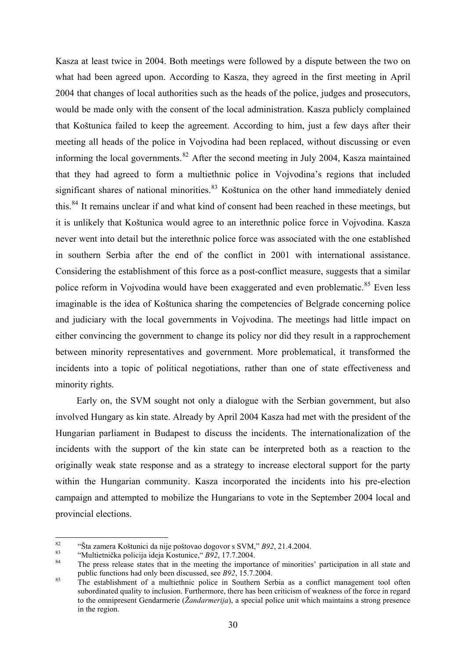Kasza at least twice in 2004. Both meetings were followed by a dispute between the two on what had been agreed upon. According to Kasza, they agreed in the first meeting in April 2004 that changes of local authorities such as the heads of the police, judges and prosecutors, would be made only with the consent of the local administration. Kasza publicly complained that Koštunica failed to keep the agreement. According to him, just a few days after their meeting all heads of the police in Vojvodina had been replaced, without discussing or even informing the local governments. $82$  After the second meeting in July 2004, Kasza maintained that they had agreed to form a multiethnic police in Vojvodina's regions that included significant shares of national minorities. $83$  Koštunica on the other hand immediately denied this.<sup>[84](#page-32-2)</sup> It remains unclear if and what kind of consent had been reached in these meetings, but it is unlikely that Koštunica would agree to an interethnic police force in Vojvodina. Kasza never went into detail but the interethnic police force was associated with the one established in southern Serbia after the end of the conflict in 2001 with international assistance. Considering the establishment of this force as a post-conflict measure, suggests that a similar police reform in Vojvodina would have been exaggerated and even problematic.<sup>[85](#page-32-3)</sup> Even less imaginable is the idea of Koštunica sharing the competencies of Belgrade concerning police and judiciary with the local governments in Vojvodina. The meetings had little impact on either convincing the government to change its policy nor did they result in a rapprochement between minority representatives and government. More problematical, it transformed the incidents into a topic of political negotiations, rather than one of state effectiveness and minority rights.

Early on, the SVM sought not only a dialogue with the Serbian government, but also involved Hungary as kin state. Already by April 2004 Kasza had met with the president of the Hungarian parliament in Budapest to discuss the incidents. The internationalization of the incidents with the support of the kin state can be interpreted both as a reaction to the originally weak state response and as a strategy to increase electoral support for the party within the Hungarian community. Kasza incorporated the incidents into his pre-election campaign and attempted to mobilize the Hungarians to vote in the September 2004 local and provincial elections.

<span id="page-32-0"></span> $82$ 

<span id="page-32-2"></span><span id="page-32-1"></span>

<sup>&</sup>lt;sup>82</sup><br>
"Sta zamera Koštunici da nije poštovao dogovor s SVM,"  $B92$ , 21.4.2004.<br>
"Multietnička policija ideja Kostunice,"  $B92$ , 17.7.2004.<br>
The press release states that in the meeting the importance of minorities' partic

<span id="page-32-3"></span><sup>&</sup>lt;sup>85</sup> The establishment of a multiethnic police in Southern Serbia as a conflict management tool often subordinated quality to inclusion. Furthermore, there has been criticism of weakness of the force in regard to the omnipresent Gendarmerie (*Žandarmerija*), a special police unit which maintains a strong presence in the region.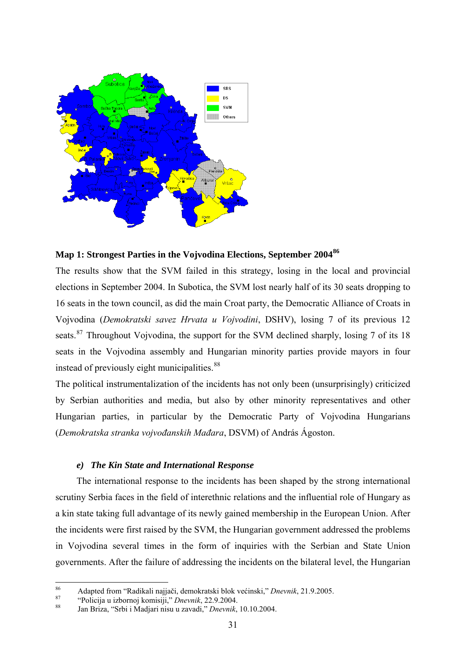<span id="page-33-0"></span>

# **Map 1: Strongest Parties in the Vojvodina Elections, September 2004[86](#page-33-1)**

The results show that the SVM failed in this strategy, losing in the local and provincial elections in September 2004. In Subotica, the SVM lost nearly half of its 30 seats dropping to 16 seats in the town council, as did the main Croat party, the Democratic Alliance of Croats in Vojvodina (*Demokratski savez Hrvata u Vojvodini*, DSHV), losing 7 of its previous 12 seats.<sup>[87](#page-33-2)</sup> Throughout Vojvodina, the support for the SVM declined sharply, losing 7 of its 18 seats in the Vojvodina assembly and Hungarian minority parties provide mayors in four instead of previously eight municipalities.<sup>[88](#page-33-3)</sup>

The political instrumentalization of the incidents has not only been (unsurprisingly) criticized by Serbian authorities and media, but also by other minority representatives and other Hungarian parties, in particular by the Democratic Party of Vojvodina Hungarians (*Demokratska stranka vojvođanskih Mađara*, DSVM) of András Ágoston.

#### *e) The Kin State and International Response*

The international response to the incidents has been shaped by the strong international scrutiny Serbia faces in the field of interethnic relations and the influential role of Hungary as a kin state taking full advantage of its newly gained membership in the European Union. After the incidents were first raised by the SVM, the Hungarian government addressed the problems in Vojvodina several times in the form of inquiries with the Serbian and State Union governments. After the failure of addressing the incidents on the bilateral level, the Hungarian

<span id="page-33-1"></span> $86$ <sup>86</sup> Adapted from "Radikali najjači, demokratski blok većinski," *Dnevnik*, 21.9.2005.<br>
"Policija u izbornoj komisiji," *Dnevnik*, 22.9.2004.<br>
Jan Briza, "Srbi i Madjari nisu u zavadi," *Dnevnik*, 10.10.2004.

<span id="page-33-2"></span>

<span id="page-33-3"></span>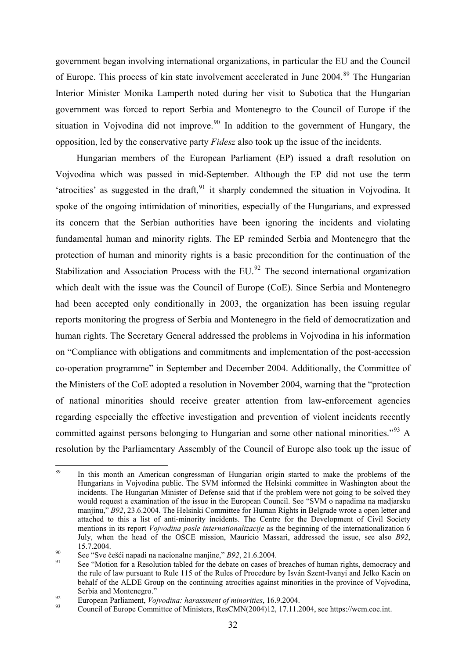government began involving international organizations, in particular the EU and the Council of Europe. This process of kin state involvement accelerated in June 2004.<sup>[89](#page-34-0)</sup> The Hungarian Interior Minister Monika Lamperth noted during her visit to Subotica that the Hungarian government was forced to report Serbia and Montenegro to the Council of Europe if the situation in Vojvodina did not improve.<sup>[90](#page-34-1)</sup> In addition to the government of Hungary, the opposition, led by the conservative party *Fidesz* also took up the issue of the incidents.

Hungarian members of the European Parliament (EP) issued a draft resolution on Vojvodina which was passed in mid-September. Although the EP did not use the term 'atrocities' as suggested in the draft,  $91$  it sharply condemned the situation in Vojvodina. It spoke of the ongoing intimidation of minorities, especially of the Hungarians, and expressed its concern that the Serbian authorities have been ignoring the incidents and violating fundamental human and minority rights. The EP reminded Serbia and Montenegro that the protection of human and minority rights is a basic precondition for the continuation of the Stabilization and Association Process with the EU.<sup>[92](#page-34-3)</sup> The second international organization which dealt with the issue was the Council of Europe (CoE). Since Serbia and Montenegro had been accepted only conditionally in 2003, the organization has been issuing regular reports monitoring the progress of Serbia and Montenegro in the field of democratization and human rights. The Secretary General addressed the problems in Vojvodina in his information on "Compliance with obligations and commitments and implementation of the post-accession co-operation programme" in September and December 2004. Additionally, the Committee of the Ministers of the CoE adopted a resolution in November 2004, warning that the "protection of national minorities should receive greater attention from law-enforcement agencies regarding especially the effective investigation and prevention of violent incidents recently committed against persons belonging to Hungarian and some other national minorities."<sup>[93](#page-34-4)</sup> A resolution by the Parliamentary Assembly of the Council of Europe also took up the issue of

<span id="page-34-0"></span> $\overline{89}$ In this month an American congressman of Hungarian origin started to make the problems of the Hungarians in Vojvodina public. The SVM informed the Helsinki committee in Washington about the incidents. The Hungarian Minister of Defense said that if the problem were not going to be solved they would request a examination of the issue in the European Council. See "SVM o napadima na madjarsku manjinu," *B92*, 23.6.2004. The Helsinki Committee for Human Rights in Belgrade wrote a open letter and attached to this a list of anti-minority incidents. The Centre for the Development of Civil Society mentions in its report *Vojvodina posle internationalizacije* as the beginning of the internationalization 6 July, when the head of the OSCE mission, Mauricio Massari, addressed the issue, see also *B92*, 15.7.2004.<br>
90 See "Sve češći napadi na nacionalne manjine," *B92*, 21.6.2004.<br>
91 See "Motion for a Resolution tabled for the debate on cases of breaches of human rights, democracy and

<span id="page-34-1"></span>

<span id="page-34-2"></span>the rule of law pursuant to Rule 115 of the Rules of Procedure by Isván Szent-Ivanyi and Jelko Kacin on behalf of the ALDE Group on the continuing atrocities against minorities in the province of Vojvodina, Serbia and Montenegro."<br>
<sup>92</sup> European Parliament, *Vojvodina: harassment of minorities*, 16.9.2004.<br>
Council of Europe Committee of Ministers, ResCMN(2004)12, 17.11.2004, see https://wcm.coe.int.

<span id="page-34-3"></span>

<span id="page-34-4"></span>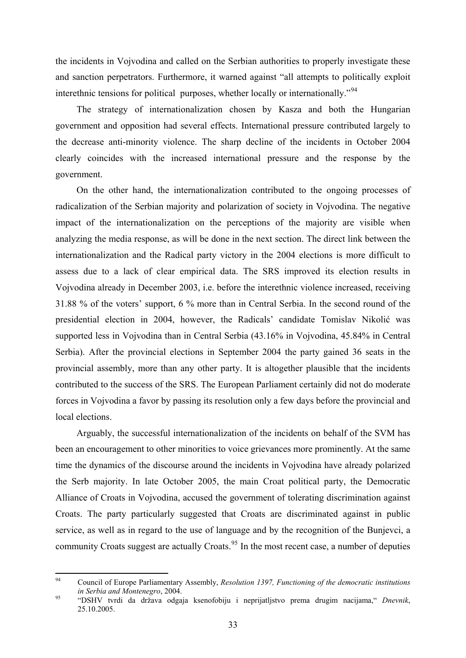the incidents in Vojvodina and called on the Serbian authorities to properly investigate these and sanction perpetrators. Furthermore, it warned against "all attempts to politically exploit interethnic tensions for political purposes, whether locally or internationally."<sup>[94](#page-35-0)</sup>

The strategy of internationalization chosen by Kasza and both the Hungarian government and opposition had several effects. International pressure contributed largely to the decrease anti-minority violence. The sharp decline of the incidents in October 2004 clearly coincides with the increased international pressure and the response by the government.

On the other hand, the internationalization contributed to the ongoing processes of radicalization of the Serbian majority and polarization of society in Vojvodina. The negative impact of the internationalization on the perceptions of the majority are visible when analyzing the media response, as will be done in the next section. The direct link between the internationalization and the Radical party victory in the 2004 elections is more difficult to assess due to a lack of clear empirical data. The SRS improved its election results in Vojvodina already in December 2003, i.e. before the interethnic violence increased, receiving 31.88 % of the voters' support, 6 % more than in Central Serbia. In the second round of the presidential election in 2004, however, the Radicals' candidate Tomislav Nikolić was supported less in Vojvodina than in Central Serbia (43.16% in Vojvodina, 45.84% in Central Serbia). After the provincial elections in September 2004 the party gained 36 seats in the provincial assembly, more than any other party. It is altogether plausible that the incidents contributed to the success of the SRS. The European Parliament certainly did not do moderate forces in Vojvodina a favor by passing its resolution only a few days before the provincial and local elections.

Arguably, the successful internationalization of the incidents on behalf of the SVM has been an encouragement to other minorities to voice grievances more prominently. At the same time the dynamics of the discourse around the incidents in Vojvodina have already polarized the Serb majority. In late October 2005, the main Croat political party, the Democratic Alliance of Croats in Vojvodina, accused the government of tolerating discrimination against Croats. The party particularly suggested that Croats are discriminated against in public service, as well as in regard to the use of language and by the recognition of the Bunjevci, a community Croats suggest are actually Croats.<sup>[95](#page-35-1)</sup> In the most recent case, a number of deputies

<span id="page-35-0"></span> $Q_{\Delta}$ 94 Council of Europe Parliamentary Assembly, *Resolution 1397, Functioning of the democratic institutions in Serbia and Montenegro*, 2004. 95 "DSHV tvrdi da država odgaja ksenofobiju i neprijatljstvo prema drugim nacijama," *Dnevnik*,

<span id="page-35-1"></span><sup>25.10.2005.</sup>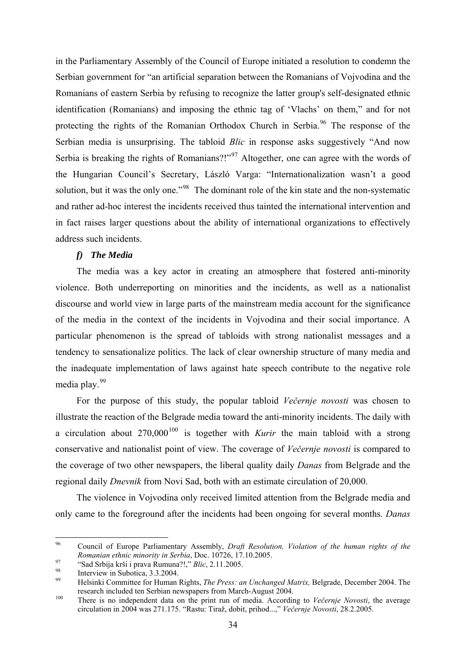<span id="page-36-0"></span>in the Parliamentary Assembly of the Council of Europe initiated a resolution to condemn the Serbian government for "an artificial separation between the Romanians of Vojvodina and the Romanians of eastern Serbia by refusing to recognize the latter group's self-designated ethnic identification (Romanians) and imposing the ethnic tag of 'Vlachs' on them," and for not protecting the rights of the Romanian Orthodox Church in Serbia.<sup>[96](#page-36-1)</sup> The response of the Serbian media is unsurprising. The tabloid *Blic* in response asks suggestively "And now Serbia is breaking the rights of Romanians?!"<sup>[97](#page-36-2)</sup> Altogether, one can agree with the words of the Hungarian Council's Secretary, László Varga: "Internationalization wasn't a good solution, but it was the only one."<sup>[98](#page-36-3)</sup> The dominant role of the kin state and the non-systematic and rather ad-hoc interest the incidents received thus tainted the international intervention and in fact raises larger questions about the ability of international organizations to effectively address such incidents.

## *f) The Media*

The media was a key actor in creating an atmosphere that fostered anti-minority violence. Both underreporting on minorities and the incidents, as well as a nationalist discourse and world view in large parts of the mainstream media account for the significance of the media in the context of the incidents in Vojvodina and their social importance. A particular phenomenon is the spread of tabloids with strong nationalist messages and a tendency to sensationalize politics. The lack of clear ownership structure of many media and the inadequate implementation of laws against hate speech contribute to the negative role media play.<sup>[99](#page-36-4)</sup>

For the purpose of this study, the popular tabloid *Večernje novosti* was chosen to illustrate the reaction of the Belgrade media toward the anti-minority incidents. The daily with a circulation about  $270,000^{100}$  $270,000^{100}$  $270,000^{100}$  is together with *Kurir* the main tabloid with a strong conservative and nationalist point of view. The coverage of *Večernje novosti* is compared to the coverage of two other newspapers, the liberal quality daily *Danas* from Belgrade and the regional daily *Dnevnik* from Novi Sad, both with an estimate circulation of 20,000.

The violence in Vojvodina only received limited attention from the Belgrade media and only came to the foreground after the incidents had been ongoing for several months. *Danas*

<span id="page-36-1"></span><sup>96</sup> 96 Council of Europe Parliamentary Assembly, *Draft Resolution, Violation of the human rights of the Romanian ethnic minority in Serbia*, Doc. 10726, 17.10.2005.<br>
<sup>97</sup> "Sad Srbija krši i prava Rumuna?!," *Blic*, 2.11.2005.<br>
Interview in Subotica, 3.3.2004.<br>
<sup>99</sup> Interview in Subotica, 3.3.2004.

<span id="page-36-3"></span><span id="page-36-2"></span>

<span id="page-36-4"></span><sup>99</sup> Helsinki Committee for Human Rights, *The Press: an Unchanged Matrix,* Belgrade, December 2004. The research included ten Serbian newspapers from March-August 2004. 100 There is no independent data on the print run of media. According to *Večernje Novosti*, the average

<span id="page-36-5"></span>circulation in 2004 was 271.175. "Rastu: Tiraž, dobit, prihod...," *Večernje Novosti*, 28.2.2005.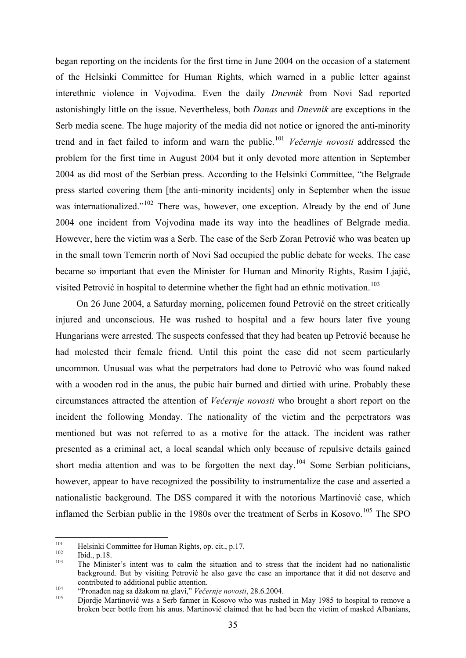began reporting on the incidents for the first time in June 2004 on the occasion of a statement of the Helsinki Committee for Human Rights, which warned in a public letter against interethnic violence in Vojvodina. Even the daily *Dnevnik* from Novi Sad reported astonishingly little on the issue. Nevertheless, both *Danas* and *Dnevnik* are exceptions in the Serb media scene. The huge majority of the media did not notice or ignored the anti-minority trend and in fact failed to inform and warn the public.[101](#page-37-0) *Večernje novosti* addressed the problem for the first time in August 2004 but it only devoted more attention in September 2004 as did most of the Serbian press. According to the Helsinki Committee, "the Belgrade press started covering them [the anti-minority incidents] only in September when the issue was internationalized."<sup>[102](#page-37-1)</sup> There was, however, one exception. Already by the end of June 2004 one incident from Vojvodina made its way into the headlines of Belgrade media. However, here the victim was a Serb. The case of the Serb Zoran Petrović who was beaten up in the small town Temerin north of Novi Sad occupied the public debate for weeks. The case became so important that even the Minister for Human and Minority Rights, Rasim Ljajić, visited Petrović in hospital to determine whether the fight had an ethnic motivation.<sup>[103](#page-37-2)</sup>

On 26 June 2004, a Saturday morning, policemen found Petrović on the street critically injured and unconscious. He was rushed to hospital and a few hours later five young Hungarians were arrested. The suspects confessed that they had beaten up Petrović because he had molested their female friend. Until this point the case did not seem particularly uncommon. Unusual was what the perpetrators had done to Petrović who was found naked with a wooden rod in the anus, the pubic hair burned and dirtied with urine. Probably these circumstances attracted the attention of *Večernje novosti* who brought a short report on the incident the following Monday. The nationality of the victim and the perpetrators was mentioned but was not referred to as a motive for the attack. The incident was rather presented as a criminal act, a local scandal which only because of repulsive details gained short media attention and was to be forgotten the next day.<sup>[104](#page-37-3)</sup> Some Serbian politicians, however, appear to have recognized the possibility to instrumentalize the case and asserted a nationalistic background. The DSS compared it with the notorious Martinović case, which inflamed the Serbian public in the 1980s over the treatment of Serbs in Kosovo.<sup>[105](#page-37-4)</sup> The SPO

<sup>101</sup> 

<span id="page-37-2"></span><span id="page-37-1"></span>

<span id="page-37-0"></span><sup>&</sup>lt;sup>101</sup> Helsinki Committee for Human Rights, op. cit., p.17.<br><sup>102</sup> Ibid., p.18.<br><sup>103</sup> The Minister's intent was to calm the situation and to stress that the incident had no nationalistic background. But by visiting Petrović he also gave the case an importance that it did not deserve and contributed to additional public attention.<br>
"Pronađen nag sa džakom na glavi," *Večernje novosti*, 28.6.2004.<br>
Djordje Martinović was a Serb farmer in Kosovo who was rushed in May 1985 to hospital to remove a

<span id="page-37-3"></span>

<span id="page-37-4"></span>broken beer bottle from his anus. Martinović claimed that he had been the victim of masked Albanians,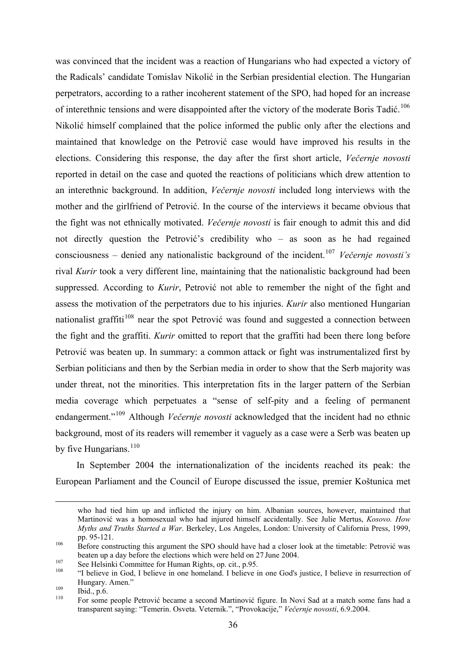was convinced that the incident was a reaction of Hungarians who had expected a victory of the Radicals' candidate Tomislav Nikolić in the Serbian presidential election. The Hungarian perpetrators, according to a rather incoherent statement of the SPO, had hoped for an increase of interethnic tensions and were disappointed after the victory of the moderate Boris Tadić.<sup>[106](#page-38-0)</sup> Nikolić himself complained that the police informed the public only after the elections and maintained that knowledge on the Petrović case would have improved his results in the elections. Considering this response, the day after the first short article, *Večernje novosti* reported in detail on the case and quoted the reactions of politicians which drew attention to an interethnic background. In addition, *Večernje novosti* included long interviews with the mother and the girlfriend of Petrović. In the course of the interviews it became obvious that the fight was not ethnically motivated. *Večernje novosti* is fair enough to admit this and did not directly question the Petrović's credibility who – as soon as he had regained consciousness – denied any nationalistic background of the incident.[107](#page-38-1) *Večernje novosti's* rival *Kurir* took a very different line, maintaining that the nationalistic background had been suppressed. According to *Kurir*, Petrović not able to remember the night of the fight and assess the motivation of the perpetrators due to his injuries. *Kurir* also mentioned Hungarian nationalist graffiti<sup>[108](#page-38-2)</sup> near the spot Petrović was found and suggested a connection between the fight and the graffiti. *Kurir* omitted to report that the graffiti had been there long before Petrović was beaten up. In summary: a common attack or fight was instrumentalized first by Serbian politicians and then by the Serbian media in order to show that the Serb majority was under threat, not the minorities. This interpretation fits in the larger pattern of the Serbian media coverage which perpetuates a "sense of self-pity and a feeling of permanent endangerment."<sup>[109](#page-38-3)</sup> Although *Večernje novosti* acknowledged that the incident had no ethnic background, most of its readers will remember it vaguely as a case were a Serb was beaten up by five Hungarians. $110$ 

In September 2004 the internationalization of the incidents reached its peak: the European Parliament and the Council of Europe discussed the issue, premier Koštunica met

1

who had tied him up and inflicted the injury on him. Albanian sources, however, maintained that Martinović was a homosexual who had injured himself accidentally. See Julie Mertus, *Kosovo. How Myths and Truths Started a War*. Berkeley, Los Angeles, London: University of California Press, 1999, pp. 95-121.<br><sup>106</sup> Before constructing this argument the SPO should have had a closer look at the timetable: Petrović was

<span id="page-38-0"></span>beaten up a day before the elections which were held on 27 June 2004.<br>
See Helsinki Committee for Human Rights, op. cit., p.95.<br>
"I believe in God, I believe in one homeland. I believe in one God's justice, I believe in re

<span id="page-38-1"></span>

<span id="page-38-2"></span>Hungary. Amen."<br>
109 Ibid., p.6.<br>
110 For some people Petrović became a second Martinović figure. In Novi Sad at a match some fans had a

<span id="page-38-4"></span><span id="page-38-3"></span>

transparent saying: "Temerin. Osveta. Veternik.", "Provokacije," *Večernje novosti*, 6.9.2004.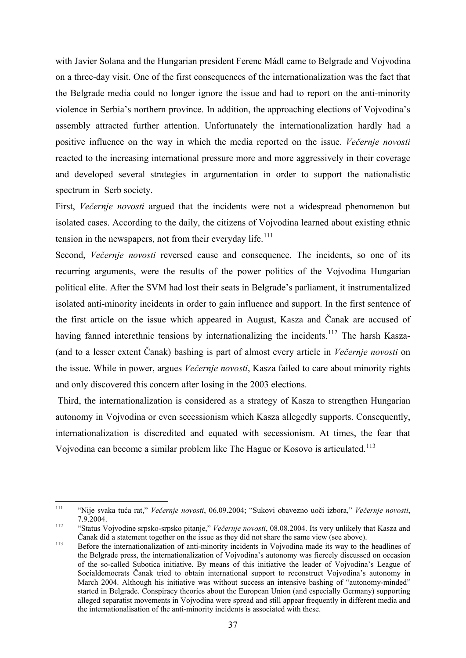with Javier Solana and the Hungarian president Ferenc Mádl came to Belgrade and Vojvodina on a three-day visit. One of the first consequences of the internationalization was the fact that the Belgrade media could no longer ignore the issue and had to report on the anti-minority violence in Serbia's northern province. In addition, the approaching elections of Vojvodina's assembly attracted further attention. Unfortunately the internationalization hardly had a positive influence on the way in which the media reported on the issue. *Večernje novosti* reacted to the increasing international pressure more and more aggressively in their coverage and developed several strategies in argumentation in order to support the nationalistic spectrum in Serb society.

First, *Večernje novosti* argued that the incidents were not a widespread phenomenon but isolated cases. According to the daily, the citizens of Vojvodina learned about existing ethnic tension in the newspapers, not from their everyday life.<sup>[111](#page-39-0)</sup>

Second, *Večernje novosti* reversed cause and consequence. The incidents, so one of its recurring arguments, were the results of the power politics of the Vojvodina Hungarian political elite. After the SVM had lost their seats in Belgrade's parliament, it instrumentalized isolated anti-minority incidents in order to gain influence and support. In the first sentence of the first article on the issue which appeared in August, Kasza and Čanak are accused of having fanned interethnic tensions by internationalizing the incidents.<sup>[112](#page-39-1)</sup> The harsh Kasza-(and to a lesser extent Čanak) bashing is part of almost every article in *Večernje novosti* on the issue. While in power, argues *Večernje novosti*, Kasza failed to care about minority rights and only discovered this concern after losing in the 2003 elections.

 Third, the internationalization is considered as a strategy of Kasza to strengthen Hungarian autonomy in Vojvodina or even secessionism which Kasza allegedly supports. Consequently, internationalization is discredited and equated with secessionism. At times, the fear that Vojvodina can become a similar problem like The Hague or Kosovo is articulated.<sup>[113](#page-39-2)</sup>

<span id="page-39-0"></span> $111$ 111 "Nije svaka tuća rat," *Večernje novosti*, 06.09.2004; "Sukovi obavezno uoči izbora," *Večernje novosti*, 7.9.2004. 112 "Status Vojvodine srpsko-srpsko pitanje," *Večernje novosti*, 08.08.2004. Its very unlikely that Kasza and

<span id="page-39-1"></span><sup>Č</sup>anak did a statement together on the issue as they did not share the same view (see above). 113 Before the internationalization of anti-minority incidents in Vojvodina made its way to the headlines of

<span id="page-39-2"></span>the Belgrade press, the internationalization of Vojvodina's autonomy was fiercely discussed on occasion of the so-called Subotica initiative. By means of this initiative the leader of Vojvodina's League of Socialdemocrats Čanak tried to obtain international support to reconstruct Vojvodina's autonomy in March 2004. Although his initiative was without success an intensive bashing of "autonomy-minded" started in Belgrade. Conspiracy theories about the European Union (and especially Germany) supporting alleged separatist movements in Vojvodina were spread and still appear frequently in different media and the internationalisation of the anti-minority incidents is associated with these.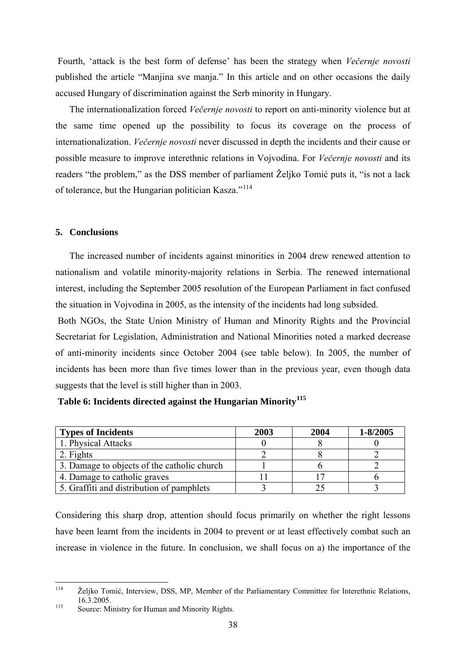<span id="page-40-0"></span> Fourth, 'attack is the best form of defense' has been the strategy when *Večernje novosti* published the article "Manjina sve manja." In this article and on other occasions the daily accused Hungary of discrimination against the Serb minority in Hungary.

The internationalization forced *Večernje novosti* to report on anti-minority violence but at the same time opened up the possibility to focus its coverage on the process of internationalization. *Večernje novosti* never discussed in depth the incidents and their cause or possible measure to improve interethnic relations in Vojvodina. For *Večernje novosti* and its readers "the problem," as the DSS member of parliament Željko Tomić puts it, "is not a lack of tolerance, but the Hungarian politician Kasza."<sup>[114](#page-40-1)</sup>

#### **5. Conclusions**

The increased number of incidents against minorities in 2004 drew renewed attention to nationalism and volatile minority-majority relations in Serbia. The renewed international interest, including the September 2005 resolution of the European Parliament in fact confused the situation in Vojvodina in 2005, as the intensity of the incidents had long subsided.

 Both NGOs, the State Union Ministry of Human and Minority Rights and the Provincial Secretariat for Legislation, Administration and National Minorities noted a marked decrease of anti-minority incidents since October 2004 (see table below). In 2005, the number of incidents has been more than five times lower than in the previous year, even though data suggests that the level is still higher than in 2003.

| <b>Types of Incidents</b>                   | 2003 | 2004 | 1-8/2005 |
|---------------------------------------------|------|------|----------|
| 1. Physical Attacks                         |      |      |          |
| 2. Fights                                   |      |      |          |
| 3. Damage to objects of the catholic church |      |      |          |
| 4. Damage to catholic graves                |      |      |          |

5. Graffiti and distribution of pamphlets 3 3 3 3

# **Table 6: Incidents directed against the Hungarian Minority[115](#page-40-2)**

Considering this sharp drop, attention should focus primarily on whether the right lessons have been learnt from the incidents in 2004 to prevent or at least effectively combat such an increase in violence in the future. In conclusion, we shall focus on a) the importance of the

<span id="page-40-1"></span> $114$ Željko Tomić, Interview, DSS, MP, Member of the Parliamentary Committee for Interethnic Relations, 115 16.3.2005.<br>
<sup>115</sup> Source: Ministry for Human and Minority Rights.

<span id="page-40-2"></span>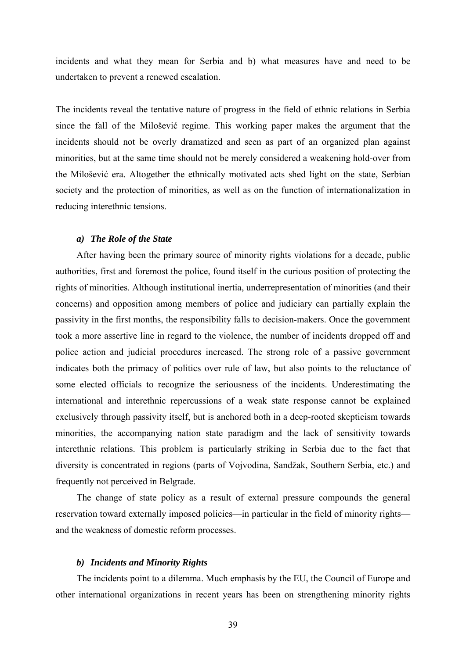<span id="page-41-0"></span>incidents and what they mean for Serbia and b) what measures have and need to be undertaken to prevent a renewed escalation.

The incidents reveal the tentative nature of progress in the field of ethnic relations in Serbia since the fall of the Milošević regime. This working paper makes the argument that the incidents should not be overly dramatized and seen as part of an organized plan against minorities, but at the same time should not be merely considered a weakening hold-over from the Milošević era. Altogether the ethnically motivated acts shed light on the state, Serbian society and the protection of minorities, as well as on the function of internationalization in reducing interethnic tensions.

#### *a) The Role of the State*

After having been the primary source of minority rights violations for a decade, public authorities, first and foremost the police, found itself in the curious position of protecting the rights of minorities. Although institutional inertia, underrepresentation of minorities (and their concerns) and opposition among members of police and judiciary can partially explain the passivity in the first months, the responsibility falls to decision-makers. Once the government took a more assertive line in regard to the violence, the number of incidents dropped off and police action and judicial procedures increased. The strong role of a passive government indicates both the primacy of politics over rule of law, but also points to the reluctance of some elected officials to recognize the seriousness of the incidents. Underestimating the international and interethnic repercussions of a weak state response cannot be explained exclusively through passivity itself, but is anchored both in a deep-rooted skepticism towards minorities, the accompanying nation state paradigm and the lack of sensitivity towards interethnic relations. This problem is particularly striking in Serbia due to the fact that diversity is concentrated in regions (parts of Vojvodina, Sandžak, Southern Serbia, etc.) and frequently not perceived in Belgrade.

The change of state policy as a result of external pressure compounds the general reservation toward externally imposed policies—in particular in the field of minority rights and the weakness of domestic reform processes.

#### *b) Incidents and Minority Rights*

The incidents point to a dilemma. Much emphasis by the EU, the Council of Europe and other international organizations in recent years has been on strengthening minority rights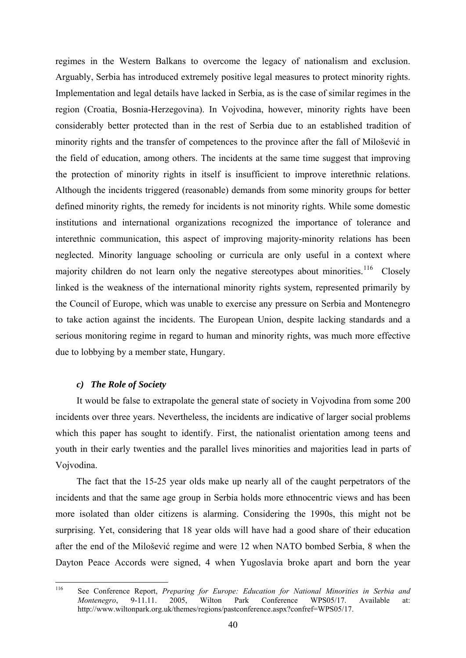<span id="page-42-0"></span>regimes in the Western Balkans to overcome the legacy of nationalism and exclusion. Arguably, Serbia has introduced extremely positive legal measures to protect minority rights. Implementation and legal details have lacked in Serbia, as is the case of similar regimes in the region (Croatia, Bosnia-Herzegovina). In Vojvodina, however, minority rights have been considerably better protected than in the rest of Serbia due to an established tradition of minority rights and the transfer of competences to the province after the fall of Milošević in the field of education, among others. The incidents at the same time suggest that improving the protection of minority rights in itself is insufficient to improve interethnic relations. Although the incidents triggered (reasonable) demands from some minority groups for better defined minority rights, the remedy for incidents is not minority rights. While some domestic institutions and international organizations recognized the importance of tolerance and interethnic communication, this aspect of improving majority-minority relations has been neglected. Minority language schooling or curricula are only useful in a context where majority children do not learn only the negative stereotypes about minorities.<sup>[116](#page-42-1)</sup> Closely linked is the weakness of the international minority rights system, represented primarily by the Council of Europe, which was unable to exercise any pressure on Serbia and Montenegro to take action against the incidents. The European Union, despite lacking standards and a serious monitoring regime in regard to human and minority rights, was much more effective due to lobbying by a member state, Hungary.

## *c) The Role of Society*

It would be false to extrapolate the general state of society in Vojvodina from some 200 incidents over three years. Nevertheless, the incidents are indicative of larger social problems which this paper has sought to identify. First, the nationalist orientation among teens and youth in their early twenties and the parallel lives minorities and majorities lead in parts of Vojvodina.

The fact that the 15-25 year olds make up nearly all of the caught perpetrators of the incidents and that the same age group in Serbia holds more ethnocentric views and has been more isolated than older citizens is alarming. Considering the 1990s, this might not be surprising. Yet, considering that 18 year olds will have had a good share of their education after the end of the Milošević regime and were 12 when NATO bombed Serbia, 8 when the Dayton Peace Accords were signed, 4 when Yugoslavia broke apart and born the year

<span id="page-42-1"></span><sup>116</sup> 116 See Conference Report, *Preparing for Europe: Education for National Minorities in Serbia and Montenegro*, 9-11.11. 2005, Wilton Park Conference WPS05/17. Available at: http://www.wiltonpark.org.uk/themes/regions/pastconference.aspx?confref=WPS05/17.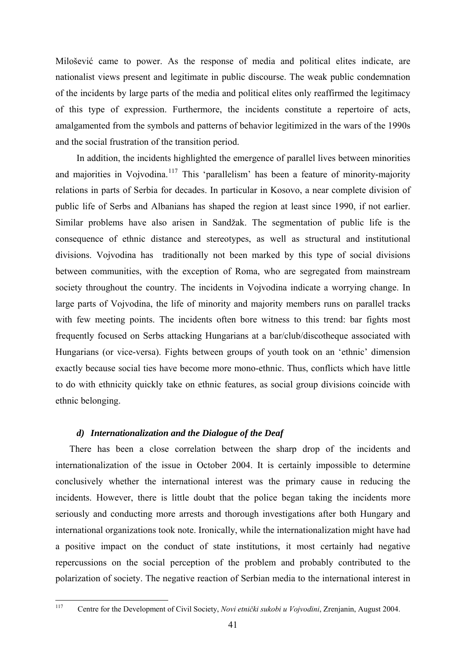<span id="page-43-0"></span>Milošević came to power. As the response of media and political elites indicate, are nationalist views present and legitimate in public discourse. The weak public condemnation of the incidents by large parts of the media and political elites only reaffirmed the legitimacy of this type of expression. Furthermore, the incidents constitute a repertoire of acts, amalgamented from the symbols and patterns of behavior legitimized in the wars of the 1990s and the social frustration of the transition period.

In addition, the incidents highlighted the emergence of parallel lives between minorities and majorities in Vojvodina.<sup>[117](#page-43-1)</sup> This 'parallelism' has been a feature of minority-majority relations in parts of Serbia for decades. In particular in Kosovo, a near complete division of public life of Serbs and Albanians has shaped the region at least since 1990, if not earlier. Similar problems have also arisen in Sandžak. The segmentation of public life is the consequence of ethnic distance and stereotypes, as well as structural and institutional divisions. Vojvodina has traditionally not been marked by this type of social divisions between communities, with the exception of Roma, who are segregated from mainstream society throughout the country. The incidents in Vojvodina indicate a worrying change. In large parts of Vojvodina, the life of minority and majority members runs on parallel tracks with few meeting points. The incidents often bore witness to this trend: bar fights most frequently focused on Serbs attacking Hungarians at a bar/club/discotheque associated with Hungarians (or vice-versa). Fights between groups of youth took on an 'ethnic' dimension exactly because social ties have become more mono-ethnic. Thus, conflicts which have little to do with ethnicity quickly take on ethnic features, as social group divisions coincide with ethnic belonging.

# *d) Internationalization and the Dialogue of the Deaf*

There has been a close correlation between the sharp drop of the incidents and internationalization of the issue in October 2004. It is certainly impossible to determine conclusively whether the international interest was the primary cause in reducing the incidents. However, there is little doubt that the police began taking the incidents more seriously and conducting more arrests and thorough investigations after both Hungary and international organizations took note. Ironically, while the internationalization might have had a positive impact on the conduct of state institutions, it most certainly had negative repercussions on the social perception of the problem and probably contributed to the polarization of society. The negative reaction of Serbian media to the international interest in

<span id="page-43-1"></span><sup>117</sup> 117 Centre for the Development of Civil Society, *Novi etnički sukobi u Vojvodini*, Zrenjanin, August 2004.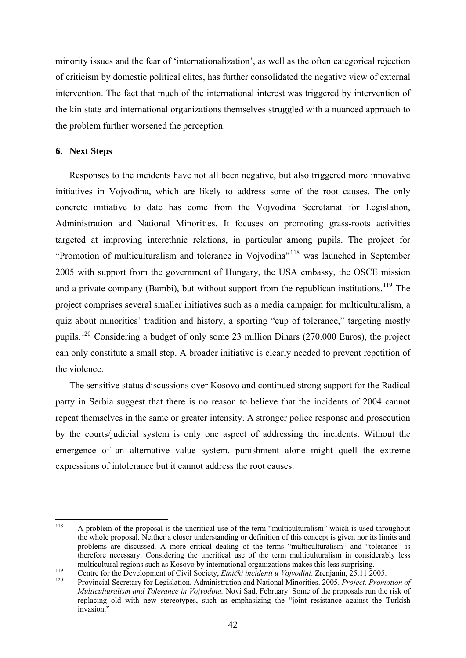<span id="page-44-0"></span>minority issues and the fear of 'internationalization', as well as the often categorical rejection of criticism by domestic political elites, has further consolidated the negative view of external intervention. The fact that much of the international interest was triggered by intervention of the kin state and international organizations themselves struggled with a nuanced approach to the problem further worsened the perception.

# **6. Next Steps**

Responses to the incidents have not all been negative, but also triggered more innovative initiatives in Vojvodina, which are likely to address some of the root causes. The only concrete initiative to date has come from the Vojvodina Secretariat for Legislation, Administration and National Minorities. It focuses on promoting grass-roots activities targeted at improving interethnic relations, in particular among pupils. The project for "Promotion of multiculturalism and tolerance in Vojvodina"[118](#page-44-1) was launched in September 2005 with support from the government of Hungary, the USA embassy, the OSCE mission and a private company (Bambi), but without support from the republican institutions.<sup>[119](#page-44-2)</sup> The project comprises several smaller initiatives such as a media campaign for multiculturalism, a quiz about minorities' tradition and history, a sporting "cup of tolerance," targeting mostly pupils.[120](#page-44-3) Considering a budget of only some 23 million Dinars (270.000 Euros), the project can only constitute a small step. A broader initiative is clearly needed to prevent repetition of the violence.

The sensitive status discussions over Kosovo and continued strong support for the Radical party in Serbia suggest that there is no reason to believe that the incidents of 2004 cannot repeat themselves in the same or greater intensity. A stronger police response and prosecution by the courts/judicial system is only one aspect of addressing the incidents. Without the emergence of an alternative value system, punishment alone might quell the extreme expressions of intolerance but it cannot address the root causes.

<span id="page-44-1"></span> $118$ 118 A problem of the proposal is the uncritical use of the term "multiculturalism" which is used throughout the whole proposal. Neither a closer understanding or definition of this concept is given nor its limits and problems are discussed. A more critical dealing of the terms "multiculturalism" and "tolerance" is therefore necessary. Considering the uncritical use of the term multiculturalism in considerably less multicultural regions such as Kosovo by international organizations makes this less surprising.<br>
Centre for the Development of Civil Society, *Etnički incidenti u Vojvodini*. Zrenjanin, 25.11.2005.<br>
Provincial Secretary fo

<span id="page-44-2"></span>

<span id="page-44-3"></span>*Multiculturalism and Tolerance in Vojvodina,* Novi Sad, February. Some of the proposals run the risk of replacing old with new stereotypes, such as emphasizing the "joint resistance against the Turkish invasion."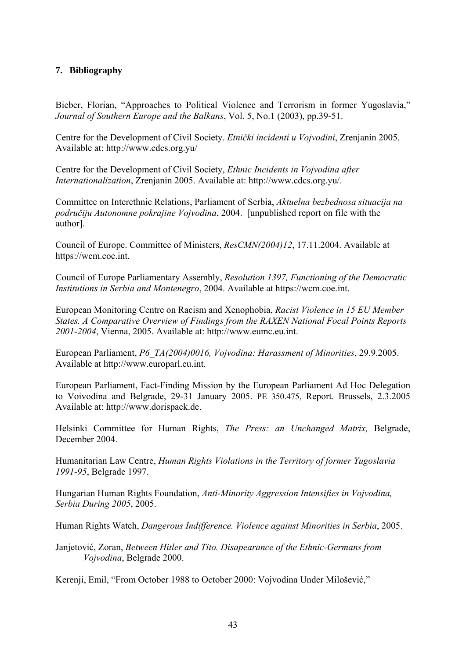# <span id="page-45-0"></span>**7. Bibliography**

Bieber, Florian, "Approaches to Political Violence and Terrorism in former Yugoslavia," *Journal of Southern Europe and the Balkans*, Vol. 5, No.1 (2003), pp.39-51.

Centre for the Development of Civil Society. *Etnički incidenti u Vojvodini*, Zrenjanin 2005. Available at: http://www.cdcs.org.yu/

Centre for the Development of Civil Society, *Ethnic Incidents in Vojvodina after Internationalization*, Zrenjanin 2005. Available at: http://www.cdcs.org.yu/.

Committee on Interethnic Relations, Parliament of Serbia, *Aktuelna bezbednosa situacija na područiju Autonomne pokrajine Vojvodina*, 2004. [unpublished report on file with the author].

Council of Europe. Committee of Ministers, *ResCMN(2004)12*, 17.11.2004. Available at https://wcm.coe.int.

Council of Europe Parliamentary Assembly, *Resolution 1397, Functioning of the Democratic Institutions in Serbia and Montenegro*, 2004. Available at https://wcm.coe.int.

European Monitoring Centre on Racism and Xenophobia, *Racist Violence in 15 EU Member States. A Comparative Overview of Findings from the RAXEN National Focal Points Reports 2001-2004*, Vienna, 2005. Available at: http://www.eumc.eu.int.

European Parliament, *P6\_TA(2004)0016, Vojvodina: Harassment of Minorities*, 29.9.2005. Available at http://www.europarl.eu.int.

European Parliament, Fact-Finding Mission by the European Parliament Ad Hoc Delegation to Voivodina and Belgrade, 29-31 January 2005. PE 350.475, Report. Brussels, 2.3.2005 Available at: http://www.dorispack.de.

Helsinki Committee for Human Rights, *The Press: an Unchanged Matrix,* Belgrade, December 2004.

Humanitarian Law Centre, *Human Rights Violations in the Territory of former Yugoslavia 1991-95*, Belgrade 1997.

Hungarian Human Rights Foundation, *Anti-Minority Aggression Intensifies in Vojvodina, Serbia During 2005*, 2005.

Human Rights Watch, *Dangerous Indifference. Violence against Minorities in Serbia*, 2005.

Janjetović, Zoran, *Between Hitler and Tito. Disapearance of the Ethnic-Germans from Vojvodina*, Belgrade 2000.

Kerenji, Emil, "From October 1988 to October 2000: Vojvodina Under Milošević,"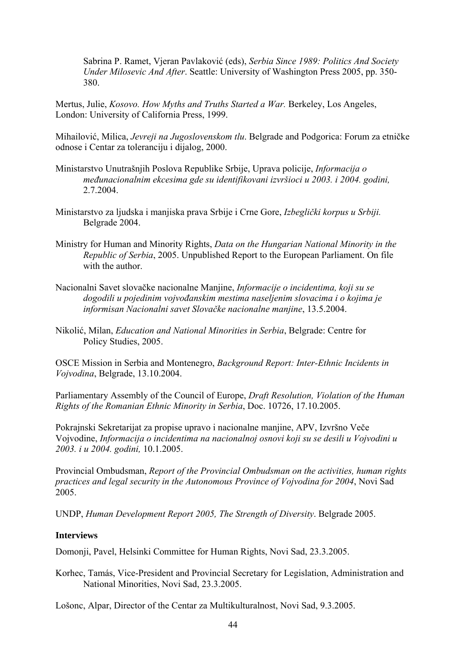Sabrina P. Ramet, Vjeran Pavlaković (eds), *Serbia Since 1989: Politics And Society Under Milosevic And After*. Seattle: University of Washington Press 2005, pp. 350- 380.

Mertus, Julie, *Kosovo. How Myths and Truths Started a War.* Berkeley, Los Angeles, London: University of California Press, 1999.

Mihailović, Milica, *Jevreji na Jugoslovenskom tlu*. Belgrade and Podgorica: Forum za etničke odnose i Centar za toleranciju i dijalog, 2000.

- Ministarstvo Unutrašnjih Poslova Republike Srbije, Uprava policije, *Informacija o međunacionalnim ekcesima gde su identifikovani izvršioci u 2003. i 2004. godini,*  2.7.2004.
- Ministarstvo za ljudska i manjiska prava Srbije i Crne Gore, *Izbeglički korpus u Srbiji.*  Belgrade 2004.
- Ministry for Human and Minority Rights, *Data on the Hungarian National Minority in the Republic of Serbia*, 2005. Unpublished Report to the European Parliament. On file with the author.
- Nacionalni Savet slovačke nacionalne Manjine, *Informacije o incidentima, koji su se dogodili u pojedinim vojvođanskim mestima naseljenim slovacima i o kojima je informisan Nacionalni savet Slovačke nacionalne manjine*, 13.5.2004.
- Nikolić, Milan, *Education and National Minorities in Serbia*, Belgrade: Centre for Policy Studies, 2005.

OSCE Mission in Serbia and Montenegro, *Background Report: Inter-Ethnic Incidents in Vojvodina*, Belgrade, 13.10.2004.

Parliamentary Assembly of the Council of Europe, *Draft Resolution, Violation of the Human Rights of the Romanian Ethnic Minority in Serbia*, Doc. 10726, 17.10.2005.

Pokrajnski Sekretarijat za propise upravo i nacionalne manjine, APV, Izvršno Veče Vojvodine, *Informacija o incidentima na nacionalnoj osnovi koji su se desili u Vojvodini u 2003. i u 2004. godini,* 10.1.2005.

Provincial Ombudsman, *Report of the Provincial Ombudsman оn the activities, human rights practices and legal security in the Autonomous Province of Vojvodina for 2004*, Novi Sad 2005.

UNDP, *Human Development Report 2005, The Strength of Diversity*. Belgrade 2005.

#### **Interviews**

Domonji, Pavel, Helsinki Committee for Human Rights, Novi Sad, 23.3.2005.

Korhec, Tamás, Vice-President and Provincial Secretary for Legislation, Administration and National Minorities, Novi Sad, 23.3.2005.

Lošonc, Alpar, Director of the Centar za Multikulturalnost, Novi Sad, 9.3.2005.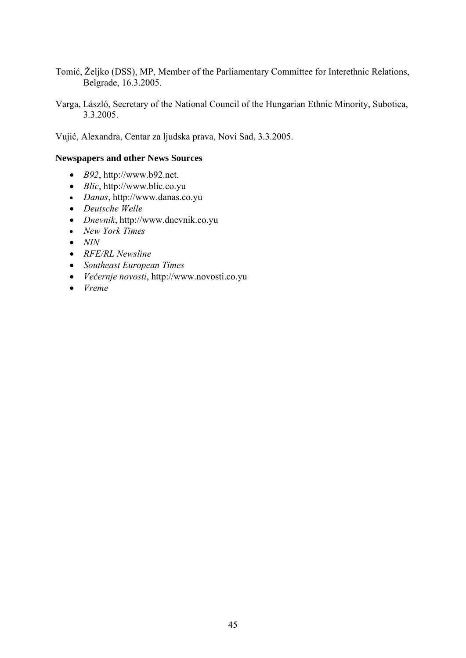- Tomić, Željko (DSS), MP, Member of the Parliamentary Committee for Interethnic Relations, Belgrade, 16.3.2005.
- Varga, László, Secretary of the National Council of the Hungarian Ethnic Minority, Subotica, 3.3.2005.

Vujić, Alexandra, Centar za ljudska prava, Novi Sad, 3.3.2005.

# **Newspapers and other News Sources**

- *B92*, http://www.b92.net.
- *Blic*, http://www.blic.co.yu
- *Danas*, http://www.danas.co.yu
- *Deutsche Welle*
- *Dnevnik*, http://www.dnevnik.co.yu
- *New York Times*
- *NIN*
- *RFE/RL Newsline*
- *Southeast European Times*
- *Večernje novosti*, http://www.novosti.co.yu
- *Vreme*